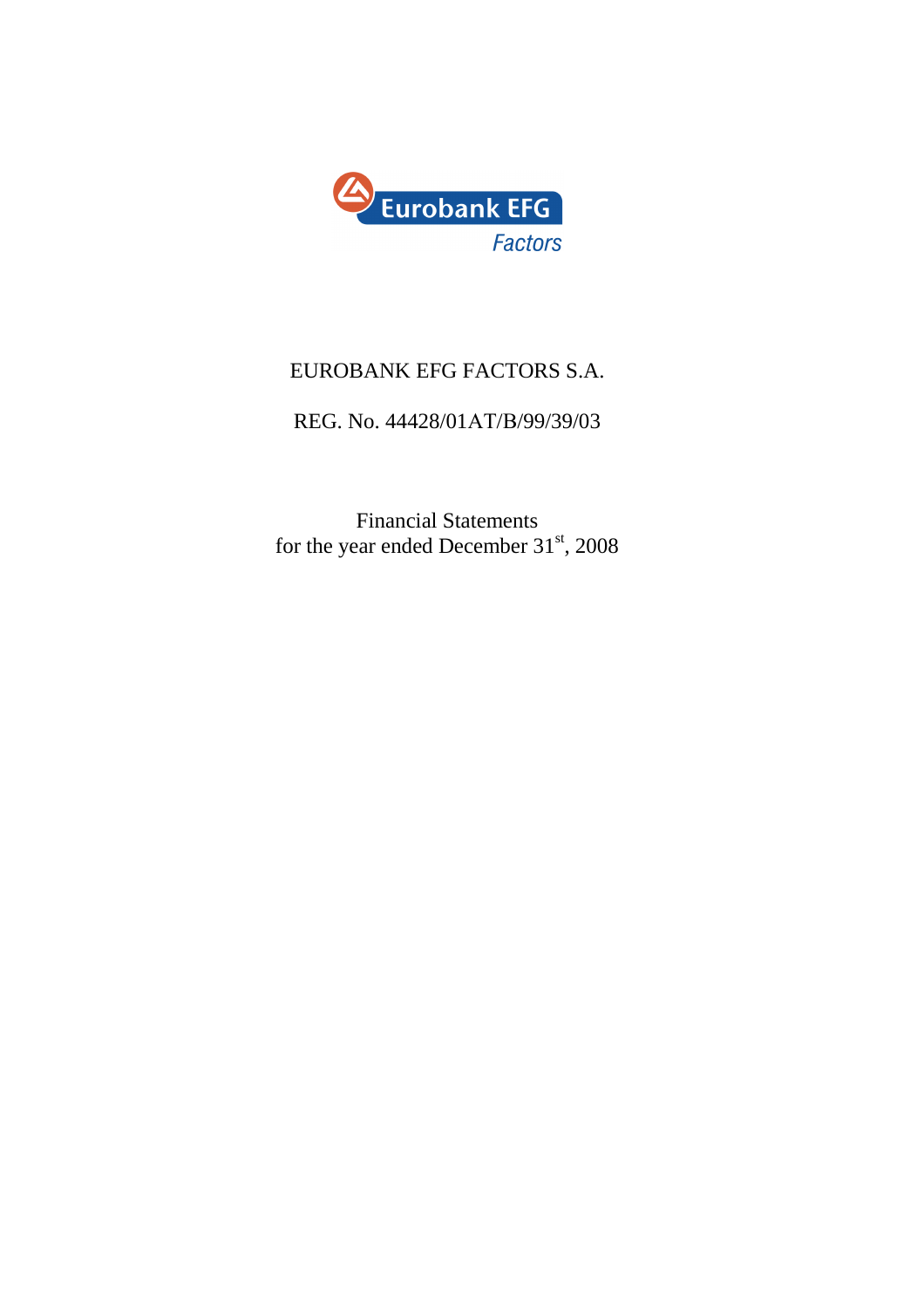

# EUROBANK EFG FACTORS S.A.

# REG. No. 44428/01ΑΤ/Β/99/39/03

Financial Statements for the year ended December  $31<sup>st</sup>$ , 2008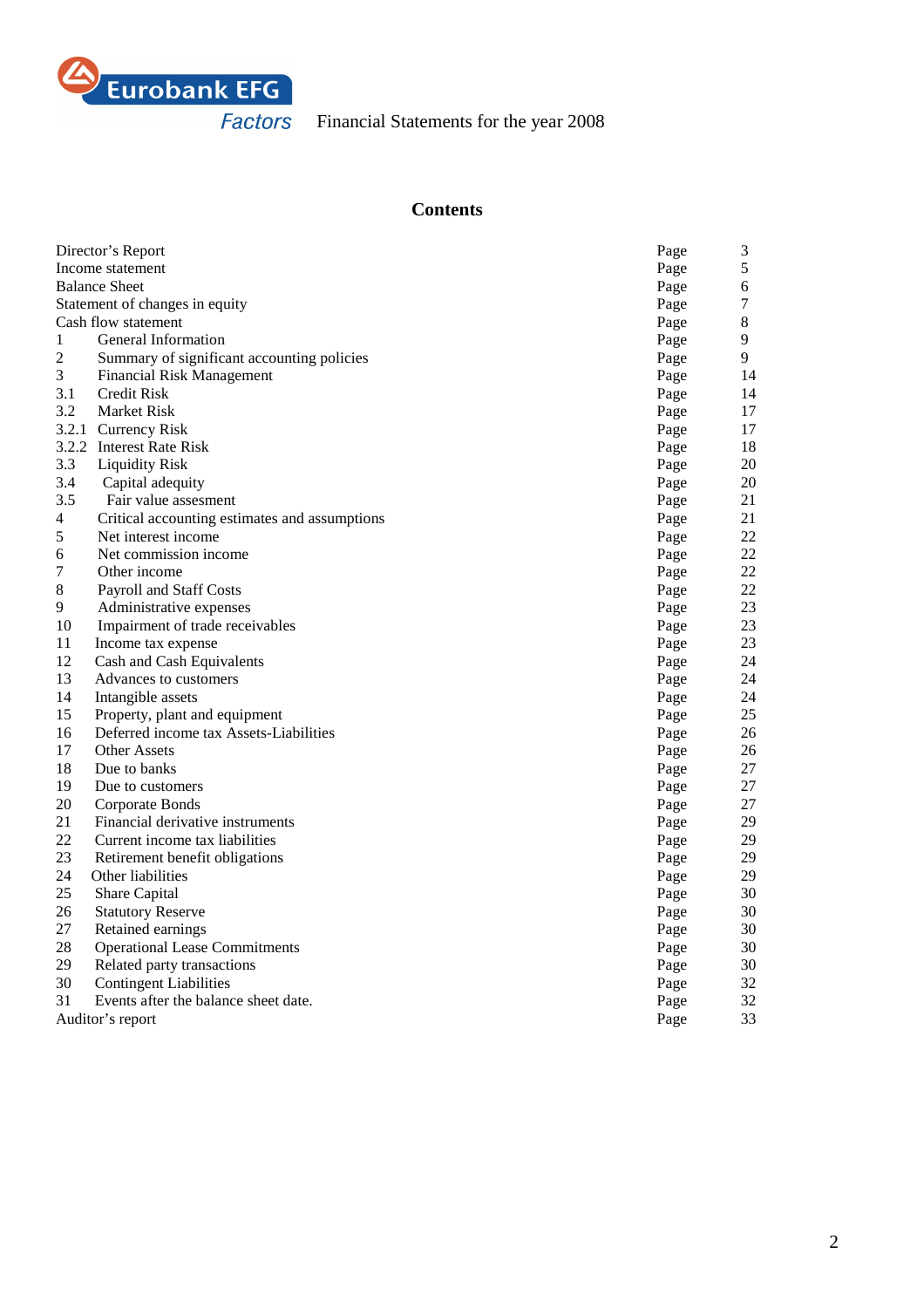

# **Contents**

|                | Director's Report                             | Page         | 3           |  |
|----------------|-----------------------------------------------|--------------|-------------|--|
|                | Income statement                              |              |             |  |
|                | <b>Balance Sheet</b>                          |              |             |  |
|                | Statement of changes in equity                | Page<br>Page | 6<br>7      |  |
|                | Cash flow statement                           | Page         | $\,$ 8 $\,$ |  |
| $\mathbf{1}$   | General Information                           | Page         | 9           |  |
| $\overline{c}$ | Summary of significant accounting policies    | Page         | 9           |  |
| 3              | <b>Financial Risk Management</b>              | Page         | 14          |  |
| 3.1            | Credit Risk                                   | Page         | 14          |  |
| 3.2            | <b>Market Risk</b>                            | Page         | 17          |  |
| 3.2.1          | <b>Currency Risk</b>                          | Page         | 17          |  |
|                | 3.2.2 Interest Rate Risk                      | Page         | 18          |  |
| 3.3            | <b>Liquidity Risk</b>                         | Page         | 20          |  |
| 3.4            | Capital adequity                              | Page         | 20          |  |
| 3.5            | Fair value assesment                          | Page         | 21          |  |
| 4              | Critical accounting estimates and assumptions | Page         | 21          |  |
| 5              | Net interest income                           | Page         | 22          |  |
| 6              | Net commission income                         | Page         | 22          |  |
| 7              | Other income                                  | Page         | $22\,$      |  |
| $\,8\,$        | Payroll and Staff Costs                       | Page         | $22\,$      |  |
| 9              | Administrative expenses                       | Page         | 23          |  |
| 10             | Impairment of trade receivables               | Page         | 23          |  |
| 11             | Income tax expense                            | Page         | 23          |  |
| 12             | Cash and Cash Equivalents                     | Page         | 24          |  |
| 13             | Advances to customers                         | Page         | 24          |  |
| 14             | Intangible assets                             | Page         | 24          |  |
| 15             | Property, plant and equipment                 | Page         | 25          |  |
| 16             | Deferred income tax Assets-Liabilities        | Page         | 26          |  |
| 17             | <b>Other Assets</b>                           | Page         | 26          |  |
| 18             | Due to banks                                  | Page         | 27          |  |
| 19             | Due to customers                              | Page         | 27          |  |
| 20             | Corporate Bonds                               | Page         | $27\,$      |  |
| 21             | Financial derivative instruments              | Page         | 29          |  |
| 22             | Current income tax liabilities                | Page         | 29          |  |
| 23             | Retirement benefit obligations                | Page         | 29          |  |
| 24             | Other liabilities                             | Page         | 29          |  |
| 25             | Share Capital                                 | Page         | 30          |  |
| 26             | <b>Statutory Reserve</b>                      | Page         | 30          |  |
| 27             | Retained earnings                             | Page         | 30          |  |
| 28             | <b>Operational Lease Commitments</b>          | Page         | 30          |  |
| 29             | Related party transactions                    | Page         | 30          |  |
| 30             | <b>Contingent Liabilities</b>                 | Page         | 32          |  |
| 31             | Events after the balance sheet date.          | Page         | 32          |  |
|                | Auditor's report                              | Page         | 33          |  |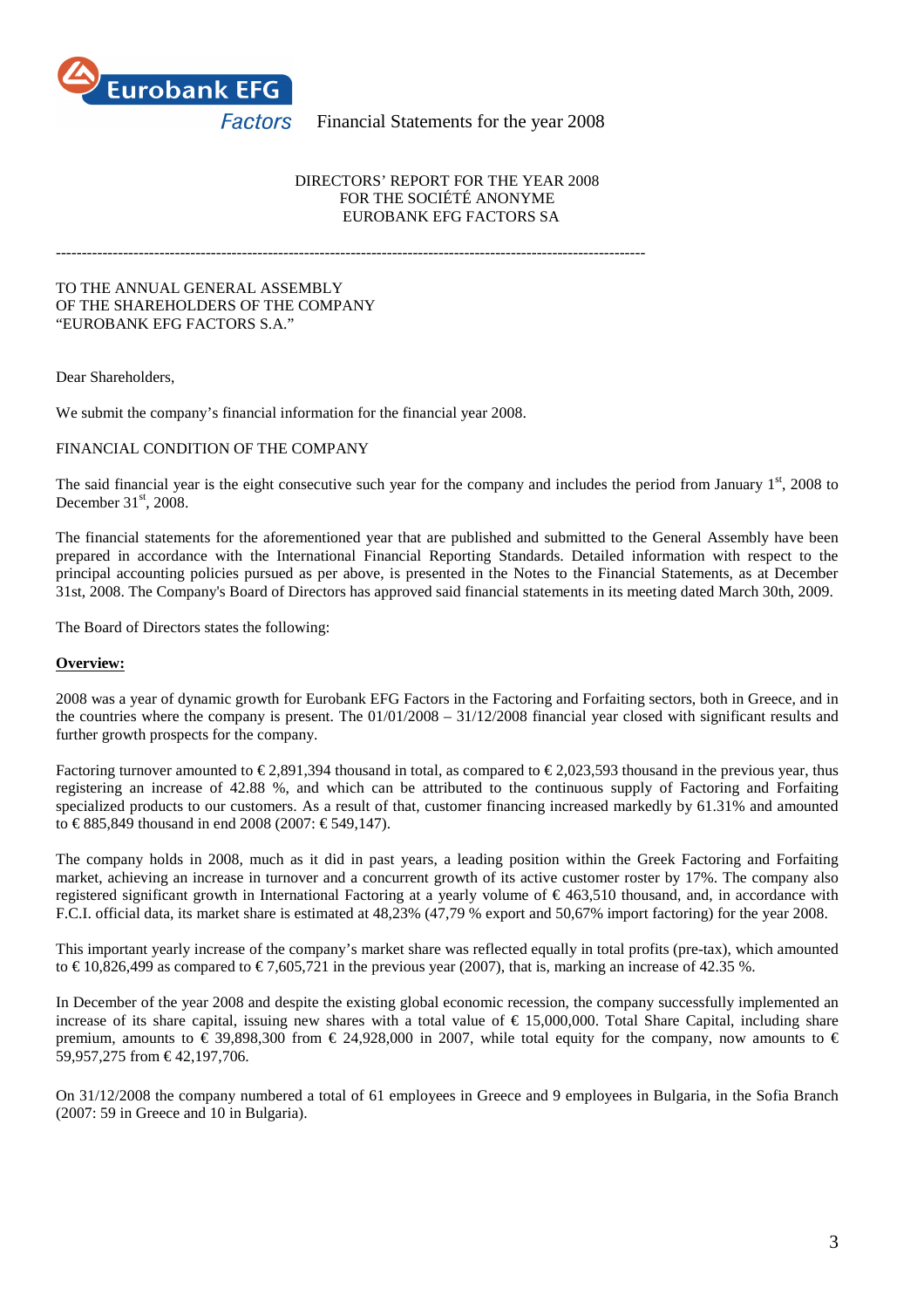

#### DIRECTORS' REPORT FOR THE YEAR 2008 FOR THE SOCIÉTÉ ANONYME EUROBANK EFG FACTORS SA

------------------------------------------------------------------------------------------------------------------

#### TO THE ANNUAL GENERAL ASSEMBLY OF THE SHAREHOLDERS OF THE COMPANY "EUROBANK EFG FACTORS S.A."

Dear Shareholders,

We submit the company's financial information for the financial year 2008.

#### FINANCIAL CONDITION OF THE COMPANY

The said financial year is the eight consecutive such year for the company and includes the period from January  $1<sup>st</sup>$ , 2008 to December  $31<sup>st</sup>$ , 2008.

The financial statements for the aforementioned year that are published and submitted to the General Assembly have been prepared in accordance with the International Financial Reporting Standards. Detailed information with respect to the principal accounting policies pursued as per above, is presented in the Notes to the Financial Statements, as at December 31st, 2008. The Company's Board of Directors has approved said financial statements in its meeting dated March 30th, 2009.

The Board of Directors states the following:

# **Overview:**

2008 was a year of dynamic growth for Eurobank EFG Factors in the Factoring and Forfaiting sectors, both in Greece, and in the countries where the company is present. The 01/01/2008 – 31/12/2008 financial year closed with significant results and further growth prospects for the company.

Factoring turnover amounted to  $\in 2,891,394$  thousand in total, as compared to  $\in 2,023,593$  thousand in the previous year, thus registering an increase of 42.88 %, and which can be attributed to the continuous supply of Factoring and Forfaiting specialized products to our customers. As a result of that, customer financing increased markedly by 61.31% and amounted to € 885,849 thousand in end 2008 (2007: € 549,147).

The company holds in 2008, much as it did in past years, a leading position within the Greek Factoring and Forfaiting market, achieving an increase in turnover and a concurrent growth of its active customer roster by 17%. The company also registered significant growth in International Factoring at a yearly volume of  $\epsilon$  463,510 thousand, and in accordance with F.C.I. official data, its market share is estimated at 48,23% (47,79 % export and 50,67% import factoring) for the year 2008.

This important yearly increase of the company's market share was reflected equally in total profits (pre-tax), which amounted to  $\in$  10,826,499 as compared to  $\in$  7,605,721 in the pevious year (2007), that is, marking an increase of 42.35 %.

In December of the year 2008 and despite the existing global economic recession, the company successfully implemented an increase of its share capital, issuing new shares with a total value of  $\epsilon$  15,000,000. Total Share Capital, including share premium, amounts to  $\epsilon$  39,898,300 from  $\epsilon$  24,928,000in 2007, while total equity for the company, now amounts to  $\epsilon$ 59,957,275 from € 42,197,706.

On 31/12/2008 the company numbered a total of 61 employees in Greece and 9 employees in Bulgaria, in the Sofia Branch (2007: 59 in Greece and 10 in Bulgaria).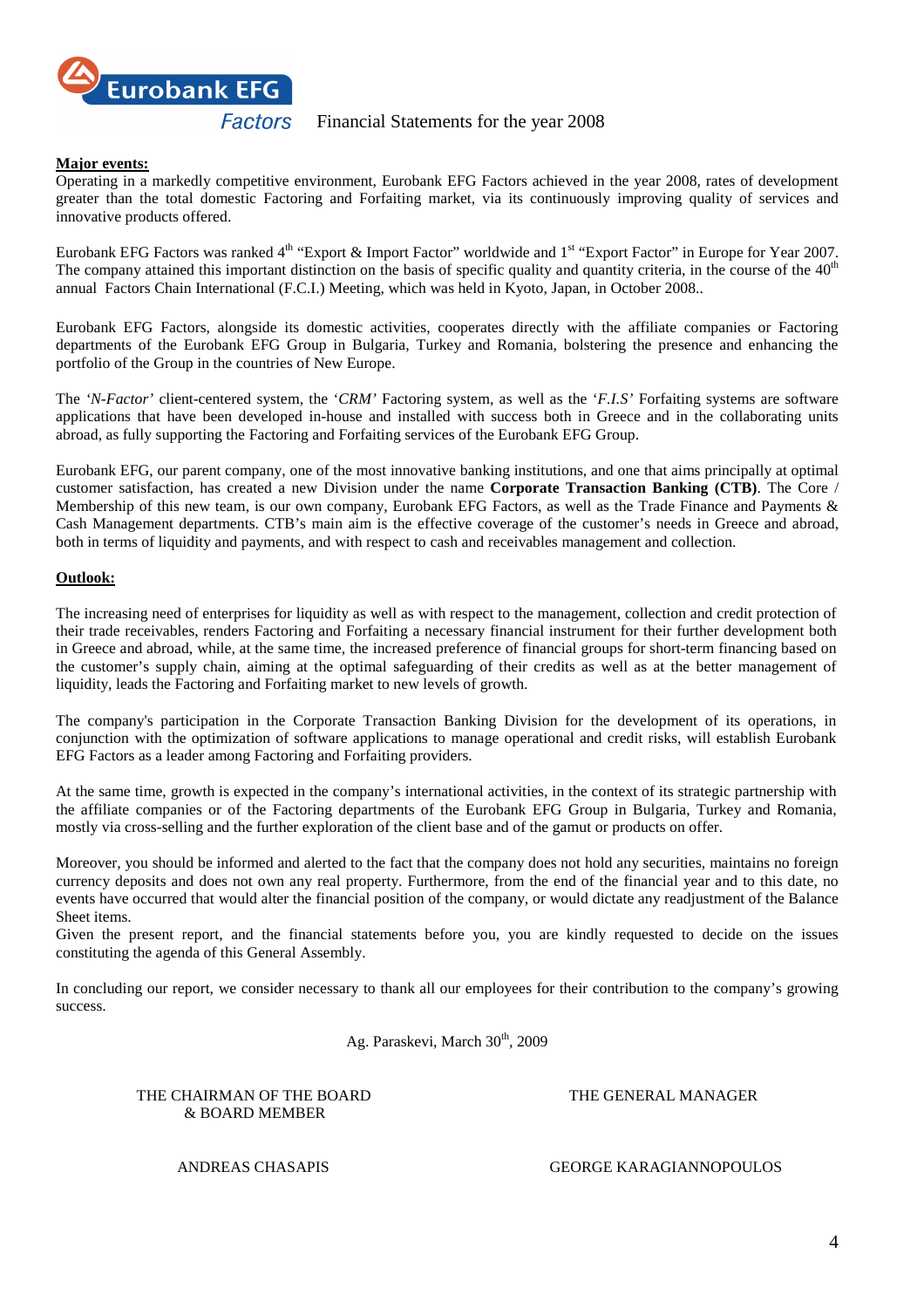

# **Major events:**

Operating in a markedly competitive environment, Eurobank EFG Factors achieved in the year 2008, rates of development greater than the total domestic Factoring and Forfaiting market, via its continuously improving quality of services and innovative products offered.

Eurobank EFG Factors was ranked 4<sup>th</sup> "Export & Import Factor" worldwide and 1<sup>st</sup> "Export Factor" in Europe for Year 2007. The company attained this important distinction on the basis of specific quality and quantity criteria, in the course of the 40<sup>th</sup> annual Factors Chain International (F.C.I.) Meeting, which was held in Kyoto, Japan, in October 2008..

Eurobank EFG Factors, alongside its domestic activities, cooperates directly with the affiliate companies or Factoring departments of the Eurobank EFG Group in Bulgaria, Turkey and Romania, bolstering the presence and enhancing the portfolio of the Group in the countries of New Europe.

The *'N-Factor'* client-centered system*,* the '*CRM'* Factoring system, as well as the '*F.I.S'* Forfaiting systems are software applications that have been developed in-house and installed with success both in Greece and in the collaborating units abroad, as fully supporting the Factoring and Forfaiting services of the Eurobank EFG Group.

Eurobank EFG, our parent company, one of the most innovative banking institutions, and one that aims principally at optimal customer satisfaction, has created a new Division under the name **Corporate Transaction Banking (CTB)**. The Core / Membership of this new team, is our own company, Eurobank EFG Factors, as well as the Trade Finance and Payments & Cash Management departments. CTB's main aim is the effective coverage of the customer's needs in Greece and abroad, both in terms of liquidity and payments, and with respect to cash and receivables management and collection.

# **Outlook:**

The increasing need of enterprises for liquidity as well as with respect to the management, collection and credit protection of their trade receivables, renders Factoring and Forfaiting a necessary financial instrument for their further development both in Greece and abroad, while, at the same time, the increased preference of financial groups for short-term financing based on the customer's supply chain, aiming at the optimal safeguarding of their credits as well as at the better management of liquidity, leads the Factoring and Forfaiting market to new levels of growth.

The company's participation in the Corporate Transaction Banking Division for the development of its operations, in conjunction with the optimization of software applications to manage operational and credit risks, will establish Eurobank EFG Factors as a leader among Factoring and Forfaiting providers.

At the same time, growth is expected in the company's international activities, in the context of its strategic partnership with the affiliate companies or of the Factoring departments of the Eurobank EFG Group in Bulgaria, Turkey and Romania, mostly via cross-selling and the further exploration of the client base and of the gamut or products on offer.

Moreover, you should be informed and alerted to the fact that the company does not hold any securities, maintains no foreign currency deposits and does not own any real property. Furthermore, from the end of the financial year and to this date, no events have occurred that would alter the financial position of the company, or would dictate any readjustment of the Balance Sheet items.

Given the present report, and the financial statements before you, you are kindly requested to decide on the issues constituting the agenda of this General Assembly.

In concluding our report, we consider necessary to thank all our employees for their contribution to the company's growing success.

Ag. Paraskevi, March 30<sup>th</sup>, 2009

THE CHAIRMAN OF THE BOARD THE GENERAL MANAGER & BOARD MEMBER

ANDREAS CHASAPIS GEORGE KARAGIANNOPOULOS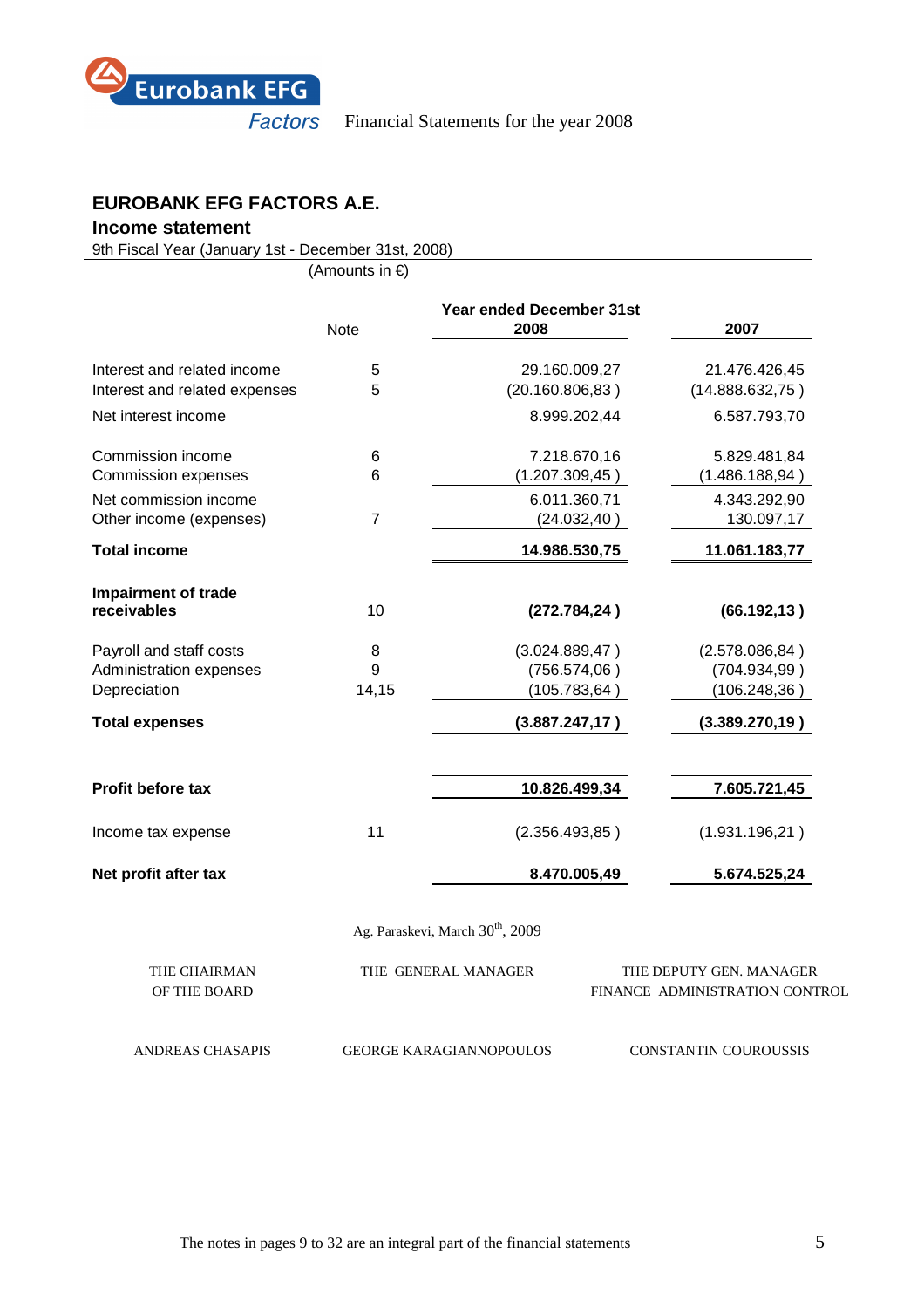

# **EUROBANK EFG FACTORS A.E.**

# **Income statement**

9th Fiscal Year (January 1st - December 31st, 2008)

(Amounts in €)

|                               | <b>Note</b>    | <b>Year ended December 31st</b><br>2008      | 2007                           |
|-------------------------------|----------------|----------------------------------------------|--------------------------------|
| Interest and related income   | 5              | 29.160.009,27                                | 21.476.426,45                  |
| Interest and related expenses | 5              | (20.160.806, 83)                             | (14.888.632,75)                |
| Net interest income           |                | 8.999.202,44                                 | 6.587.793,70                   |
| Commission income             | 6              | 7.218.670,16                                 | 5.829.481,84                   |
| <b>Commission expenses</b>    | 6              | (1.207.309,45)                               | (1.486.188, 94)                |
| Net commission income         |                | 6.011.360,71                                 | 4.343.292,90                   |
| Other income (expenses)       | $\overline{7}$ | (24.032, 40)                                 | 130.097,17                     |
| <b>Total income</b>           |                | 14.986.530,75                                | 11.061.183,77                  |
| <b>Impairment of trade</b>    |                |                                              |                                |
| receivables                   | 10             | (272.784, 24)                                | (66.192, 13)                   |
| Payroll and staff costs       | 8              | (3.024.889, 47)                              | (2.578.086, 84)                |
| Administration expenses       | 9              | (756.574,06)                                 | (704.934, 99)                  |
| Depreciation                  | 14,15          | (105.783, 64)                                | (106.248, 36)                  |
| <b>Total expenses</b>         |                | (3.887.247, 17)                              | (3.389.270, 19)                |
| Profit before tax             |                | 10.826.499,34                                | 7.605.721,45                   |
| Income tax expense            | 11             | (2.356.493, 85)                              | (1.931.196, 21)                |
| Net profit after tax          |                | 8.470.005,49                                 | 5.674.525,24                   |
|                               |                | Ag. Paraskevi, March 30 <sup>th</sup> , 2009 |                                |
| THE CHAIRMAN                  |                | THE GENERAL MANAGER                          | THE DEPUTY GEN. MANAGER        |
| OF THE BOARD                  |                |                                              | FINANCE ADMINISTRATION CONTROL |
| ANDREAS CHASAPIS              |                | <b>GEORGE KARAGIANNOPOULOS</b>               | CONSTANTIN COUROUSSIS          |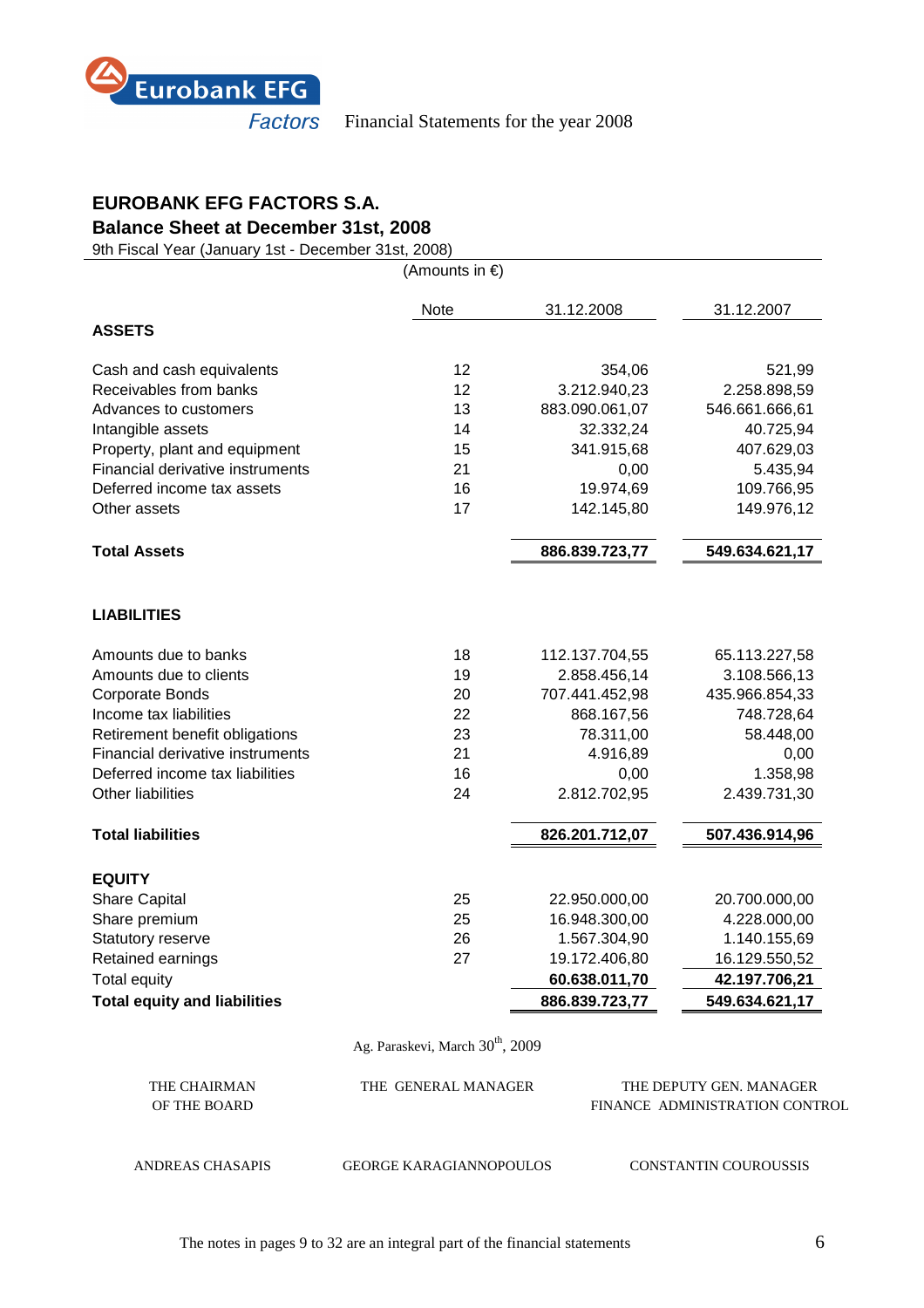

# **EUROBANK EFG FACTORS S.A.**

**Balance Sheet at December 31st, 2008** 

9th Fiscal Year (January 1st - December 31st, 2008)

(Amounts in €)

|                                     | <b>Note</b> | 31.12.2008     | 31.12.2007     |
|-------------------------------------|-------------|----------------|----------------|
| <b>ASSETS</b>                       |             |                |                |
| Cash and cash equivalents           | 12          | 354,06         | 521,99         |
| Receivables from banks              | 12          | 3.212.940,23   | 2.258.898,59   |
| Advances to customers               | 13          | 883.090.061,07 | 546.661.666,61 |
| Intangible assets                   | 14          | 32.332,24      | 40.725,94      |
| Property, plant and equipment       | 15          | 341.915,68     | 407.629,03     |
| Financial derivative instruments    | 21          | 0,00           | 5.435,94       |
| Deferred income tax assets          | 16          | 19.974,69      | 109.766,95     |
| Other assets                        | 17          | 142.145,80     | 149.976,12     |
| <b>Total Assets</b>                 |             | 886.839.723,77 | 549.634.621,17 |
| <b>LIABILITIES</b>                  |             |                |                |
| Amounts due to banks                | 18          | 112.137.704,55 | 65.113.227,58  |
| Amounts due to clients              | 19          | 2.858.456,14   | 3.108.566,13   |
| <b>Corporate Bonds</b>              | 20          | 707.441.452,98 | 435.966.854,33 |
| Income tax liabilities              | 22          | 868.167,56     | 748.728,64     |
| Retirement benefit obligations      | 23          | 78.311,00      | 58.448,00      |
| Financial derivative instruments    | 21          | 4.916,89       | 0,00           |
| Deferred income tax liabilities     | 16          | 0,00           | 1.358,98       |
| Other liabilities                   | 24          | 2.812.702,95   | 2.439.731,30   |
| <b>Total liabilities</b>            |             | 826.201.712,07 | 507.436.914,96 |
| <b>EQUITY</b>                       |             |                |                |
| <b>Share Capital</b>                | 25          | 22.950.000,00  | 20.700.000,00  |
| Share premium                       | 25          | 16.948.300,00  | 4.228.000,00   |
| Statutory reserve                   | 26          | 1.567.304,90   | 1.140.155,69   |
| Retained earnings                   | 27          | 19.172.406,80  | 16.129.550,52  |
| Total equity                        |             | 60.638.011,70  | 42.197.706,21  |
| <b>Total equity and liabilities</b> |             | 886.839.723,77 | 549.634.621,17 |

Ag. Paraskevi, March 30<sup>th</sup>, 2009

| THE CHAIRMAN<br>OF THE BOARD | THE GENERAL MANAGER            | THE DEPUTY GEN. MANAGER<br>FINANCE ADMINISTRATION CONTROL |
|------------------------------|--------------------------------|-----------------------------------------------------------|
| ANDREAS CHASAPIS             | <b>GEORGE KARAGIANNOPOULOS</b> | CONSTANTIN COUROUSSIS                                     |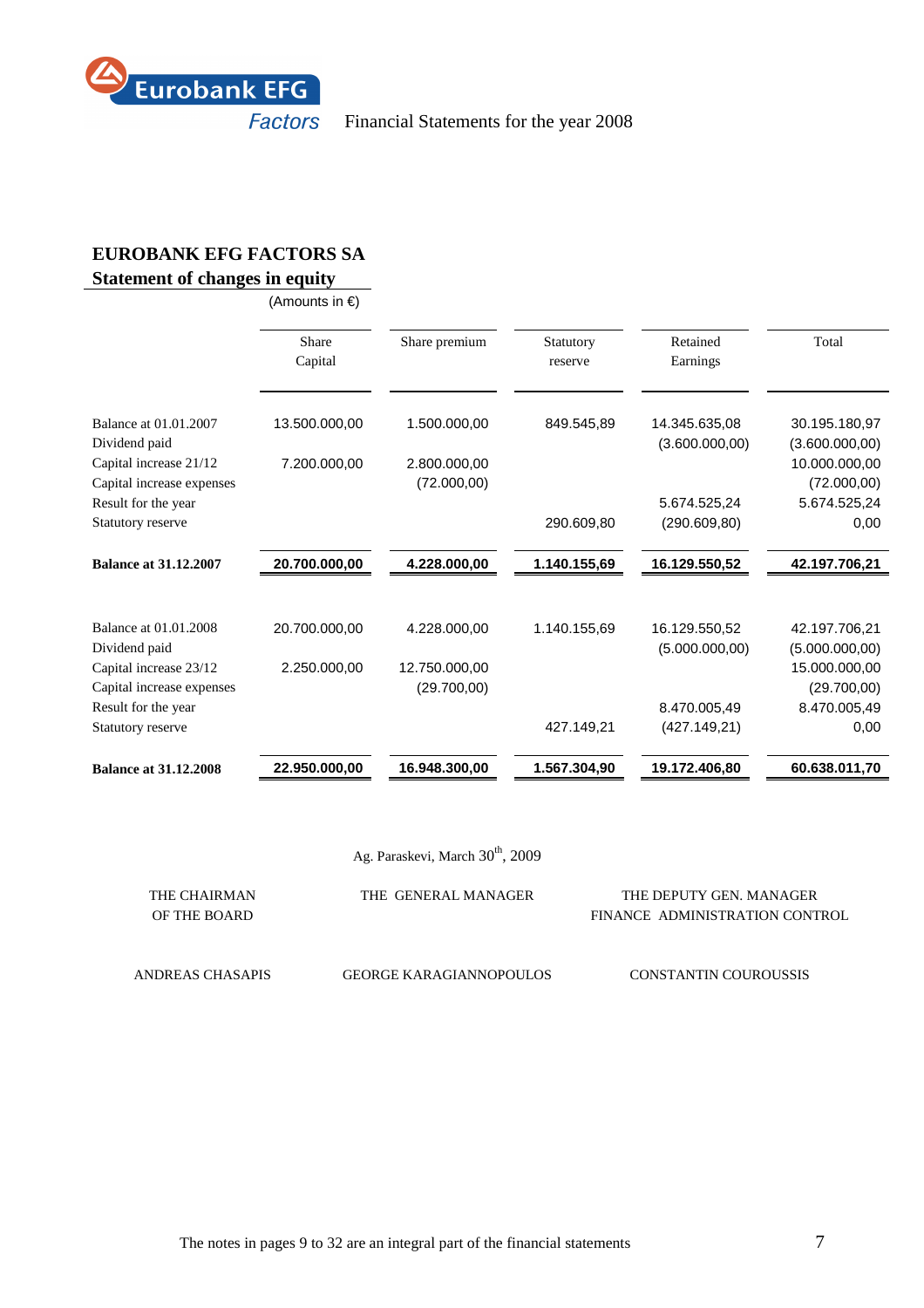

# **EUROBANK EFG FACTORS SA**

# **Statement of changes in equity**

(Amounts in €)

|                              | Share<br>Capital | Share premium | Statutory<br>reserve | Retained<br>Earnings | Total           |
|------------------------------|------------------|---------------|----------------------|----------------------|-----------------|
| Balance at 01.01.2007        | 13.500.000,00    | 1.500.000,00  | 849.545,89           | 14.345.635,08        | 30.195.180,97   |
| Dividend paid                |                  |               |                      | (3.600.000,00)       | (3.600.000,00)  |
| Capital increase 21/12       | 7.200.000,00     | 2.800.000,00  |                      |                      | 10.000.000,00   |
| Capital increase expenses    |                  | (72.000, 00)  |                      |                      | (72.000, 00)    |
| Result for the year          |                  |               |                      | 5.674.525,24         | 5.674.525,24    |
| Statutory reserve            |                  |               | 290.609,80           | (290.609, 80)        | 0,00            |
| <b>Balance at 31.12.2007</b> | 20.700.000,00    | 4.228.000,00  | 1.140.155,69         | 16.129.550,52        | 42.197.706,21   |
|                              |                  |               |                      |                      |                 |
| Balance at 01.01.2008        | 20.700.000,00    | 4.228.000,00  | 1.140.155,69         | 16.129.550,52        | 42.197.706,21   |
| Dividend paid                |                  |               |                      | (5.000.000,00)       | (5.000.000, 00) |
| Capital increase 23/12       | 2.250.000,00     | 12.750.000,00 |                      |                      | 15.000.000,00   |
| Capital increase expenses    |                  | (29.700,00)   |                      |                      | (29.700,00)     |
| Result for the year          |                  |               |                      | 8.470.005,49         | 8.470.005,49    |
| Statutory reserve            |                  |               | 427.149,21           | (427.149,21)         | 0,00            |
| <b>Balance at 31.12.2008</b> | 22.950.000,00    | 16.948.300,00 | 1.567.304,90         | 19.172.406,80        | 60.638.011,70   |

|  | Ag. Paraskevi, March 30 <sup>th</sup> , 2009 |  |  |  |
|--|----------------------------------------------|--|--|--|
|--|----------------------------------------------|--|--|--|

| THE CHAIRMAN     | THE GENERAL MANAGER            | THE DEPUTY GEN. MANAGER        |
|------------------|--------------------------------|--------------------------------|
| OF THE BOARD     |                                | FINANCE ADMINISTRATION CONTROL |
|                  |                                |                                |
|                  |                                |                                |
| ANDREAS CHASAPIS | <b>GEORGE KARAGIANNOPOULOS</b> | CONSTANTIN COUROUSSIS          |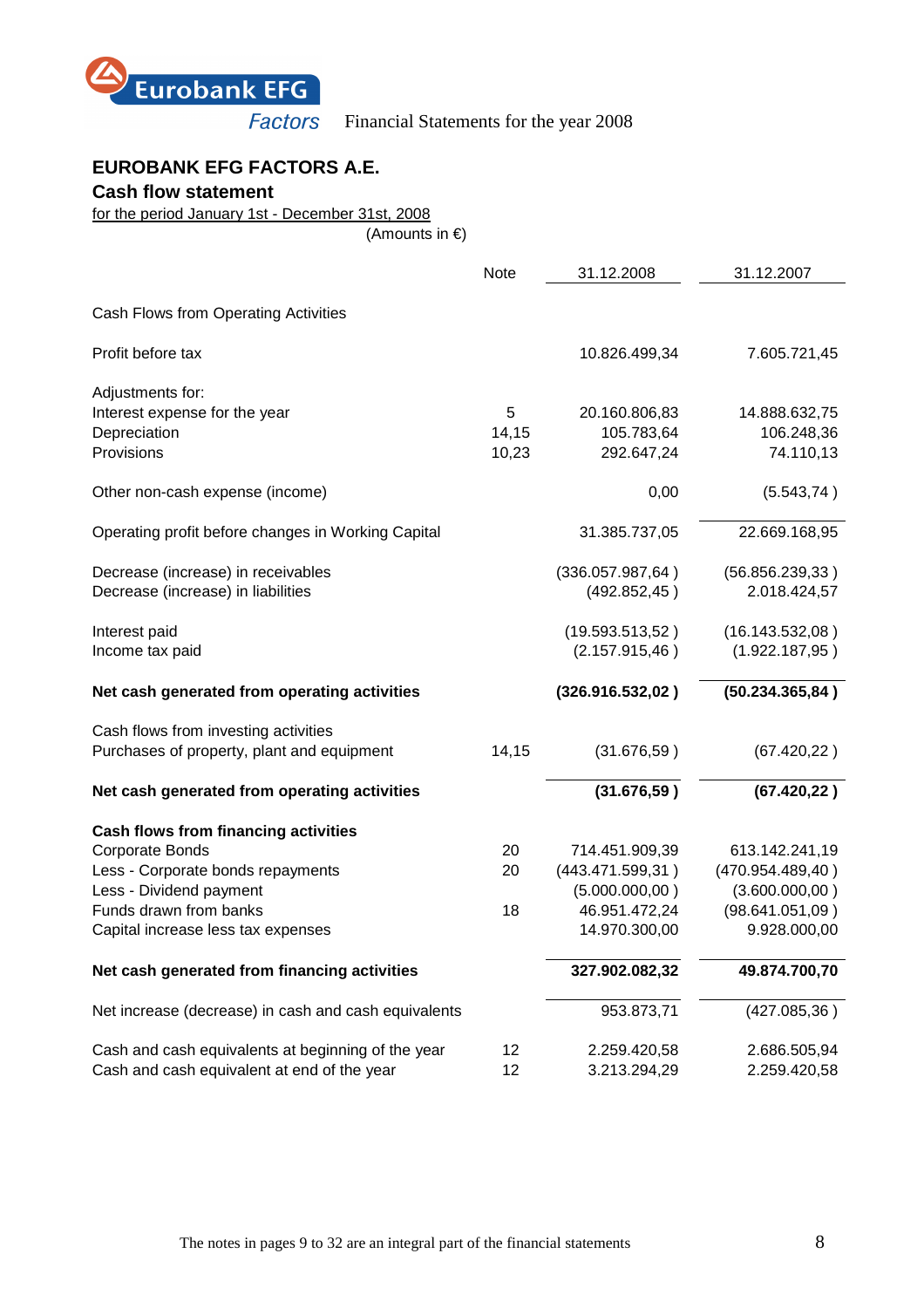

# **EUROBANK EFG FACTORS A.E.**

**Cash flow statement** 

for the period January 1st - December 31st, 2008

(Amounts in €)

|                                                      | <b>Note</b> | 31.12.2008        | 31.12.2007        |
|------------------------------------------------------|-------------|-------------------|-------------------|
| Cash Flows from Operating Activities                 |             |                   |                   |
| Profit before tax                                    |             | 10.826.499,34     | 7.605.721,45      |
| Adjustments for:                                     |             |                   |                   |
| Interest expense for the year                        | 5           | 20.160.806,83     | 14.888.632,75     |
| Depreciation                                         | 14,15       | 105.783,64        | 106.248,36        |
| Provisions                                           | 10,23       | 292.647,24        | 74.110,13         |
| Other non-cash expense (income)                      |             | 0,00              | (5.543, 74)       |
| Operating profit before changes in Working Capital   |             | 31.385.737,05     | 22.669.168,95     |
| Decrease (increase) in receivables                   |             | (336.057.987, 64) | (56.856.239, 33)  |
| Decrease (increase) in liabilities                   |             | (492.852, 45)     | 2.018.424,57      |
| Interest paid                                        |             | (19.593.513,52)   | (16.143.532,08)   |
| Income tax paid                                      |             | (2.157.915,46)    | (1.922.187,95)    |
| Net cash generated from operating activities         |             | (326.916.532,02)  | (50.234.365, 84)  |
| Cash flows from investing activities                 |             |                   |                   |
| Purchases of property, plant and equipment           | 14,15       | (31.676, 59)      | (67.420, 22)      |
| Net cash generated from operating activities         |             | (31.676, 59)      | (67.420, 22)      |
| Cash flows from financing activities                 |             |                   |                   |
| Corporate Bonds                                      | 20          | 714.451.909,39    | 613.142.241,19    |
| Less - Corporate bonds repayments                    | 20          | (443.471.599.31)  | (470.954.489, 40) |
| Less - Dividend payment                              |             | (5.000.000, 00)   | (3.600.000, 00)   |
| Funds drawn from banks                               | 18          | 46.951.472,24     | (98.641.051,09)   |
| Capital increase less tax expenses                   |             | 14.970.300,00     | 9.928.000,00      |
| Net cash generated from financing activities         |             | 327.902.082,32    | 49.874.700,70     |
| Net increase (decrease) in cash and cash equivalents |             | 953.873,71        | (427.085,36)      |
| Cash and cash equivalents at beginning of the year   | 12          | 2.259.420,58      | 2.686.505,94      |
| Cash and cash equivalent at end of the year          | 12          | 3.213.294,29      | 2.259.420,58      |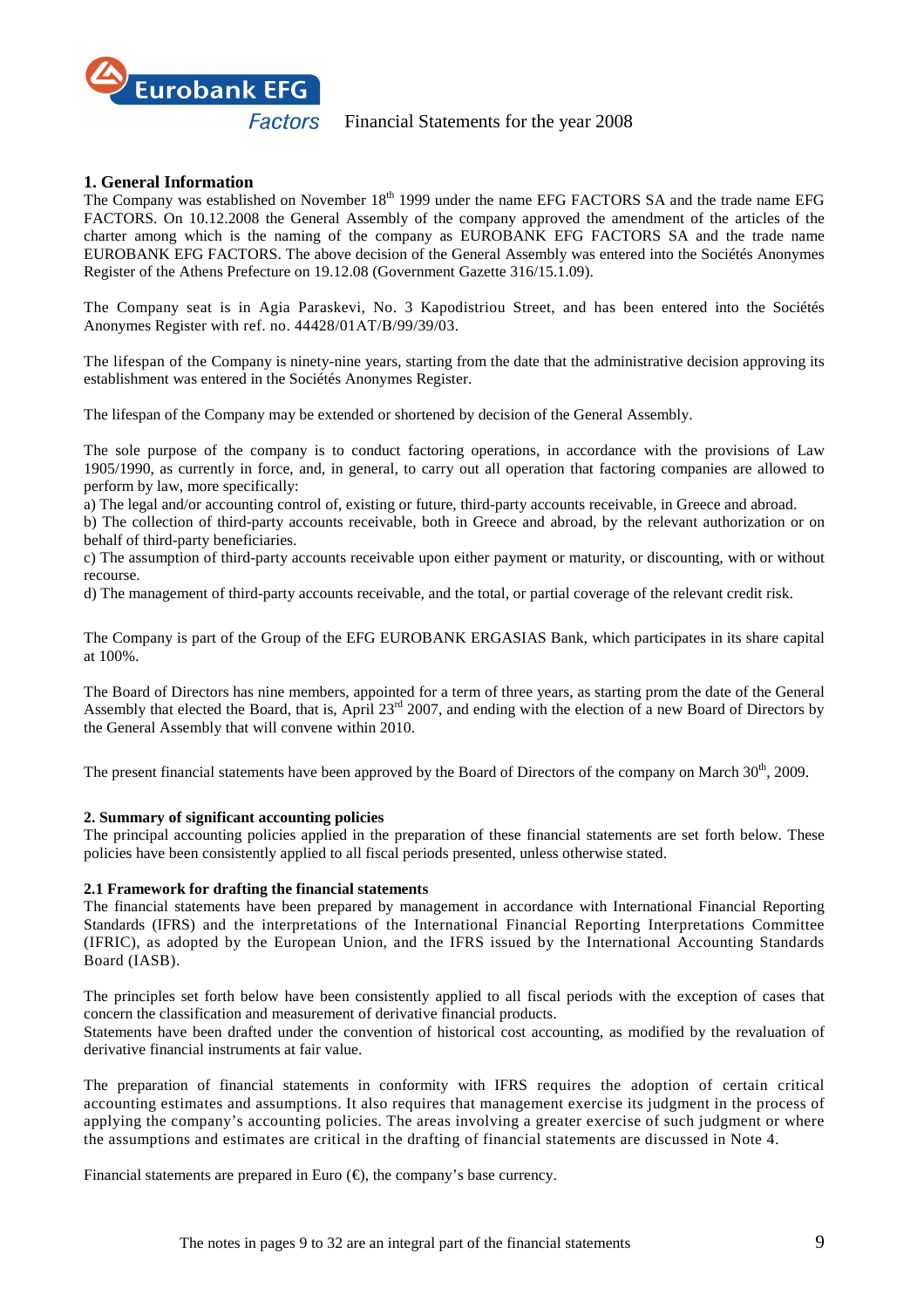

# **1. General Information**

The Company was established on November 18<sup>th</sup> 1999 under the name EFG FACTORS SA and the trade name EFG FACTORS. On 10.12.2008 the General Assembly of the company approved the amendment of the articles of the charter among which is the naming of the company as EUROBANK EFG FACTORS SA and the trade name EUROBANK EFG FACTORS. The above decision of the General Assembly was entered into the Sociétés Anonymes Register of the Athens Prefecture on 19.12.08 (Government Gazette 316/15.1.09).

The Company seat is in Agia Paraskevi, No. 3 Kapodistriou Street, and has been entered into the Sociétés Anonymes Register with ref. no. 44428/01ΑΤ/Β/99/39/03.

The lifespan of the Company is ninety-nine years, starting from the date that the administrative decision approving its establishment was entered in the Sociétés Anonymes Register.

The lifespan of the Company may be extended or shortened by decision of the General Assembly.

The sole purpose of the company is to conduct factoring operations, in accordance with the provisions of Law 1905/1990, as currently in force, and, in general, to carry out all operation that factoring companies are allowed to perform by law, more specifically:

a) The legal and/or accounting control of, existing or future, third-party accounts receivable, in Greece and abroad.

b) The collection of third-party accounts receivable, both in Greece and abroad, by the relevant authorization or on behalf of third-party beneficiaries.

c) The assumption of third-party accounts receivable upon either payment or maturity, or discounting, with or without recourse.

d) The management of third-party accounts receivable, and the total, or partial coverage of the relevant credit risk.

The Company is part of the Group of the EFG EUROBANK ERGASIAS Bank, which participates in its share capital at 100%.

The Board of Directors has nine members, appointed for a term of three years, as starting prom the date of the General Assembly that elected the Board, that is, April  $23^{rd}$  2007, and ending with the election of a new Board of Directors by the General Assembly that will convene within 2010.

The present financial statements have been approved by the Board of Directors of the company on March 30<sup>th</sup>, 2009.

# **2. Summary of significant accounting policies**

The principal accounting policies applied in the preparation of these financial statements are set forth below. These policies have been consistently applied to all fiscal periods presented, unless otherwise stated.

#### **2.1 Framework for drafting the financial statements**

The financial statements have been prepared by management in accordance with International Financial Reporting Standards (IFRS) and the interpretations of the International Financial Reporting Interpretations Committee (IFRIC), as adopted by the European Union, and the IFRS issued by the International Accounting Standards Board (IASB).

The principles set forth below have been consistently applied to all fiscal periods with the exception of cases that concern the classification and measurement of derivative financial products.

Statements have been drafted under the convention of historical cost accounting, as modified by the revaluation of derivative financial instruments at fair value.

The preparation of financial statements in conformity with IFRS requires the adoption of certain critical accounting estimates and assumptions. It also requires that management exercise its judgment in the process of applying the company's accounting policies. The areas involving a greater exercise of such judgment or where the assumptions and estimates are critical in the drafting of financial statements are discussed in Note 4.

Financial statements are prepared in Euro  $(\epsilon)$ , the company's base currency.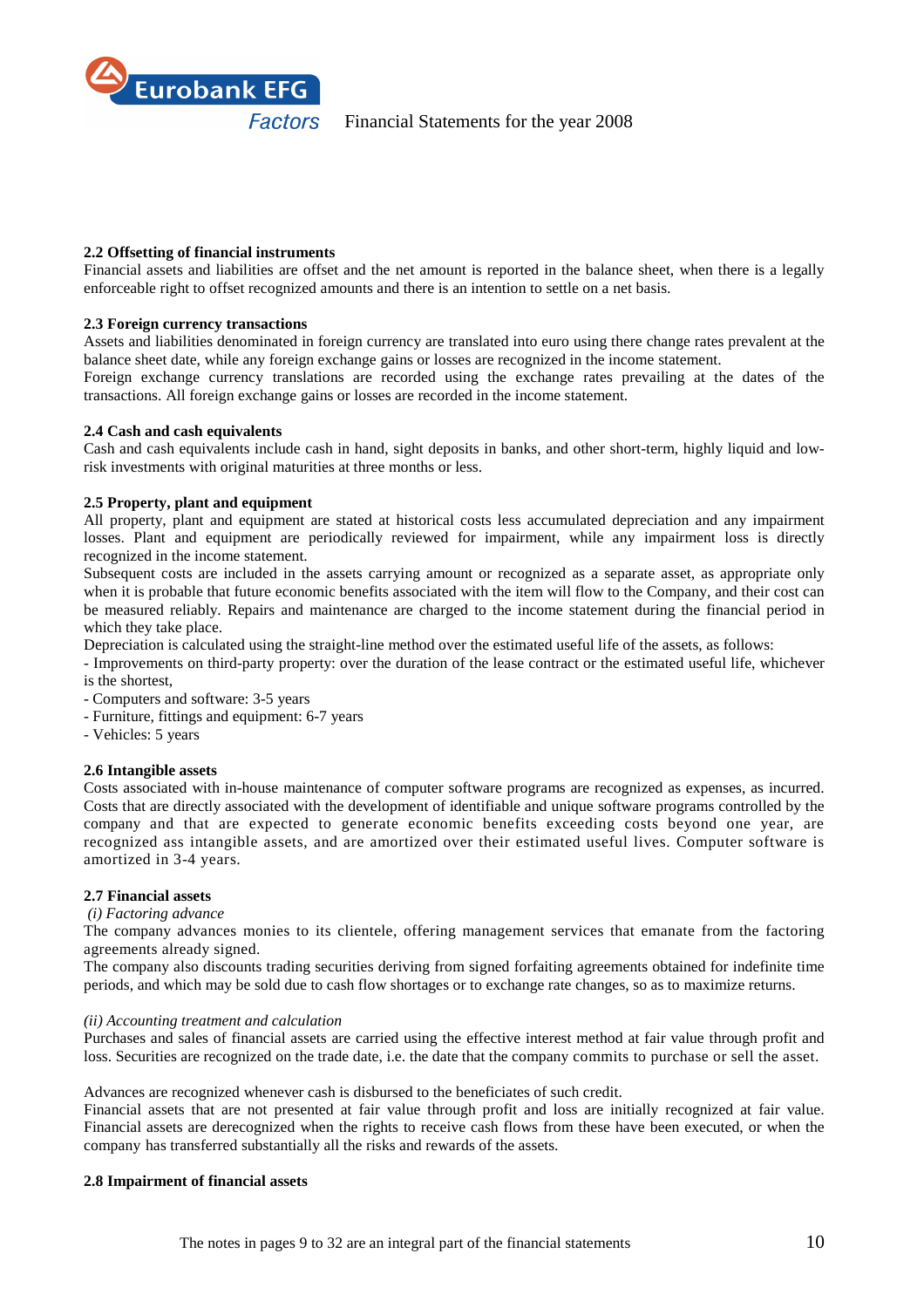

#### **2.2 Offsetting of financial instruments**

Financial assets and liabilities are offset and the net amount is reported in the balance sheet, when there is a legally enforceable right to offset recognized amounts and there is an intention to settle on a net basis.

#### **2.3 Foreign currency transactions**

Assets and liabilities denominated in foreign currency are translated into euro using there change rates prevalent at the balance sheet date, while any foreign exchange gains or losses are recognized in the income statement.

Foreign exchange currency translations are recorded using the exchange rates prevailing at the dates of the transactions. All foreign exchange gains or losses are recorded in the income statement.

#### **2.4 Cash and cash equivalents**

Cash and cash equivalents include cash in hand, sight deposits in banks, and other short-term, highly liquid and lowrisk investments with original maturities at three months or less.

#### **2.5 Property, plant and equipment**

All property, plant and equipment are stated at historical costs less accumulated depreciation and any impairment losses. Plant and equipment are periodically reviewed for impairment, while any impairment loss is directly recognized in the income statement.

Subsequent costs are included in the assets carrying amount or recognized as a separate asset, as appropriate only when it is probable that future economic benefits associated with the item will flow to the Company, and their cost can be measured reliably. Repairs and maintenance are charged to the income statement during the financial period in which they take place.

Depreciation is calculated using the straight-line method over the estimated useful life of the assets, as follows:

- Improvements on third-party property: over the duration of the lease contract or the estimated useful life, whichever is the shortest,

- Computers and software: 3-5 years

- Furniture, fittings and equipment: 6-7 years
- Vehicles: 5 years

# **2.6 Intangible assets**

Costs associated with in-house maintenance of computer software programs are recognized as expenses, as incurred. Costs that are directly associated with the development of identifiable and unique software programs controlled by the company and that are expected to generate economic benefits exceeding costs beyond one year, are recognized ass intangible assets, and are amortized over their estimated useful lives. Computer software is amortized in 3-4 years.

#### **2.7 Financial assets**

#### *(i) Factoring advance*

The company advances monies to its clientele, offering management services that emanate from the factoring agreements already signed.

The company also discounts trading securities deriving from signed forfaiting agreements obtained for indefinite time periods, and which may be sold due to cash flow shortages or to exchange rate changes, so as to maximize returns.

#### *(ii) Accounting treatment and calculation*

Purchases and sales of financial assets are carried using the effective interest method at fair value through profit and loss. Securities are recognized on the trade date, i.e. the date that the company commits to purchase or sell the asset.

Advances are recognized whenever cash is disbursed to the beneficiates of such credit.

Financial assets that are not presented at fair value through profit and loss are initially recognized at fair value. Financial assets are derecognized when the rights to receive cash flows from these have been executed, or when the company has transferred substantially all the risks and rewards of the assets.

#### **2.8 Impairment of financial assets**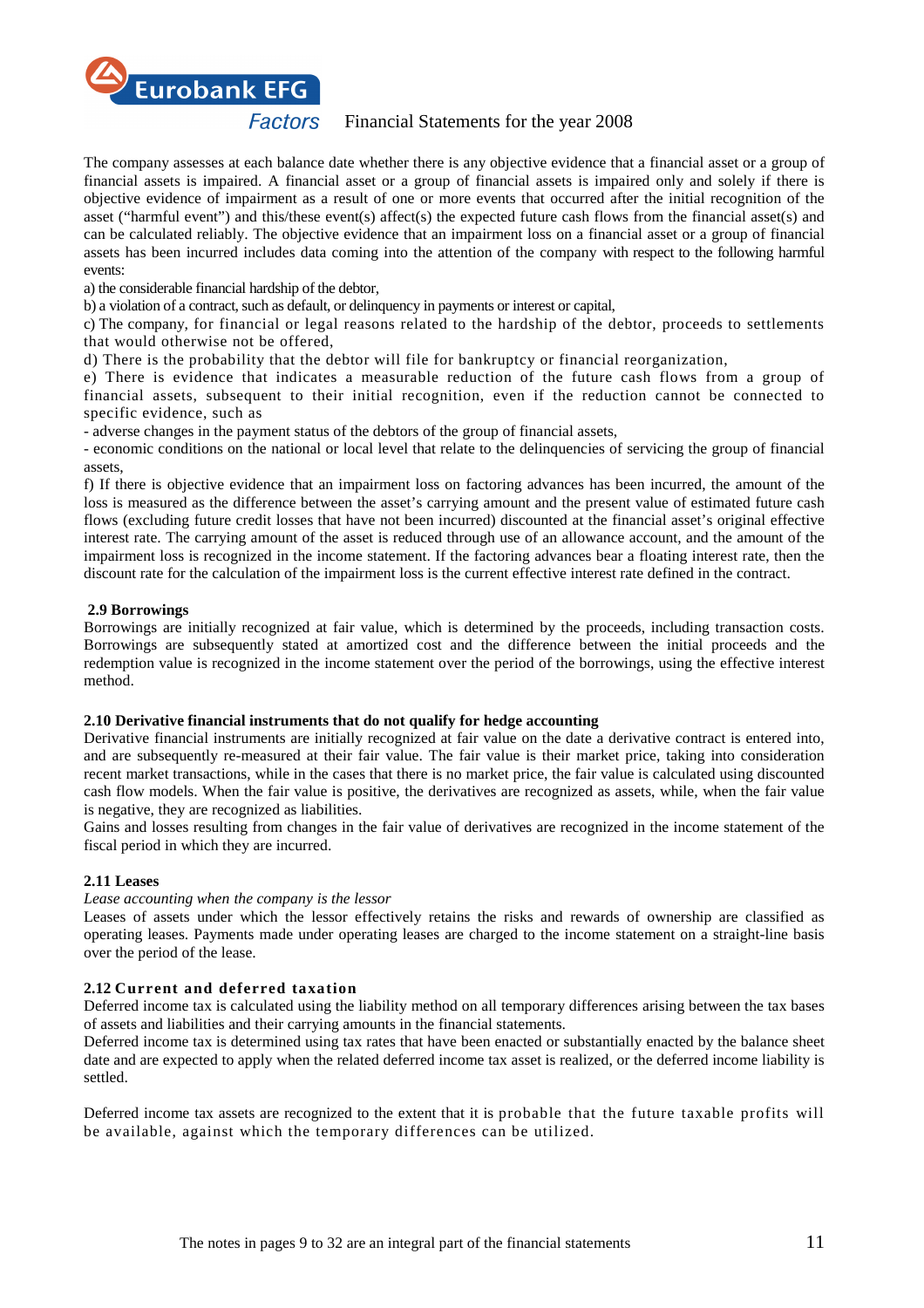

The company assesses at each balance date whether there is any objective evidence that a financial asset or a group of financial assets is impaired. A financial asset or a group of financial assets is impaired only and solely if there is objective evidence of impairment as a result of one or more events that occurred after the initial recognition of the asset ("harmful event") and this/these event(s) affect(s) the expected future cash flows from the financial asset(s) and can be calculated reliably. The objective evidence that an impairment loss on a financial asset or a group of financial assets has been incurred includes data coming into the attention of the company with respect to the following harmful events:

a) the considerable financial hardship of the debtor,

b) a violation of a contract, such as default, or delinquency in payments or interest or capital,

c) The company, for financial or legal reasons related to the hardship of the debtor, proceeds to settlements that would otherwise not be offered,

d) There is the probability that the debtor will file for bankruptcy or financial reorganization,

e) There is evidence that indicates a measurable reduction of the future cash flows from a group of financial assets, subsequent to their initial recognition, even if the reduction cannot be connected to specific evidence, such as

- adverse changes in the payment status of the debtors of the group of financial assets,

- economic conditions on the national or local level that relate to the delinquencies of servicing the group of financial assets,

f) If there is objective evidence that an impairment loss on factoring advances has been incurred, the amount of the loss is measured as the difference between the asset's carrying amount and the present value of estimated future cash flows (excluding future credit losses that have not been incurred) discounted at the financial asset's original effective interest rate. The carrying amount of the asset is reduced through use of an allowance account, and the amount of the impairment loss is recognized in the income statement. If the factoring advances bear a floating interest rate, then the discount rate for the calculation of the impairment loss is the current effective interest rate defined in the contract.

# **2.9 Borrowings**

Borrowings are initially recognized at fair value, which is determined by the proceeds, including transaction costs. Borrowings are subsequently stated at amortized cost and the difference between the initial proceeds and the redemption value is recognized in the income statement over the period of the borrowings, using the effective interest method.

# **2.10 Derivative financial instruments that do not qualify for hedge accounting**

Derivative financial instruments are initially recognized at fair value on the date a derivative contract is entered into, and are subsequently re-measured at their fair value. The fair value is their market price, taking into consideration recent market transactions, while in the cases that there is no market price, the fair value is calculated using discounted cash flow models. When the fair value is positive, the derivatives are recognized as assets, while, when the fair value is negative, they are recognized as liabilities.

Gains and losses resulting from changes in the fair value of derivatives are recognized in the income statement of the fiscal period in which they are incurred.

# **2.11 Leases**

*Lease accounting when the company is the lessor*

Leases of assets under which the lessor effectively retains the risks and rewards of ownership are classified as operating leases. Payments made under operating leases are charged to the income statement on a straight-line basis over the period of the lease.

# **2.12 Current and deferred taxation**

Deferred income tax is calculated using the liability method on all temporary differences arising between the tax bases of assets and liabilities and their carrying amounts in the financial statements.

Deferred income tax is determined using tax rates that have been enacted or substantially enacted by the balance sheet date and are expected to apply when the related deferred income tax asset is realized, or the deferred income liability is settled.

Deferred income tax assets are recognized to the extent that it is probable that the future taxable profits will be available, against which the temporary differences can be utilized.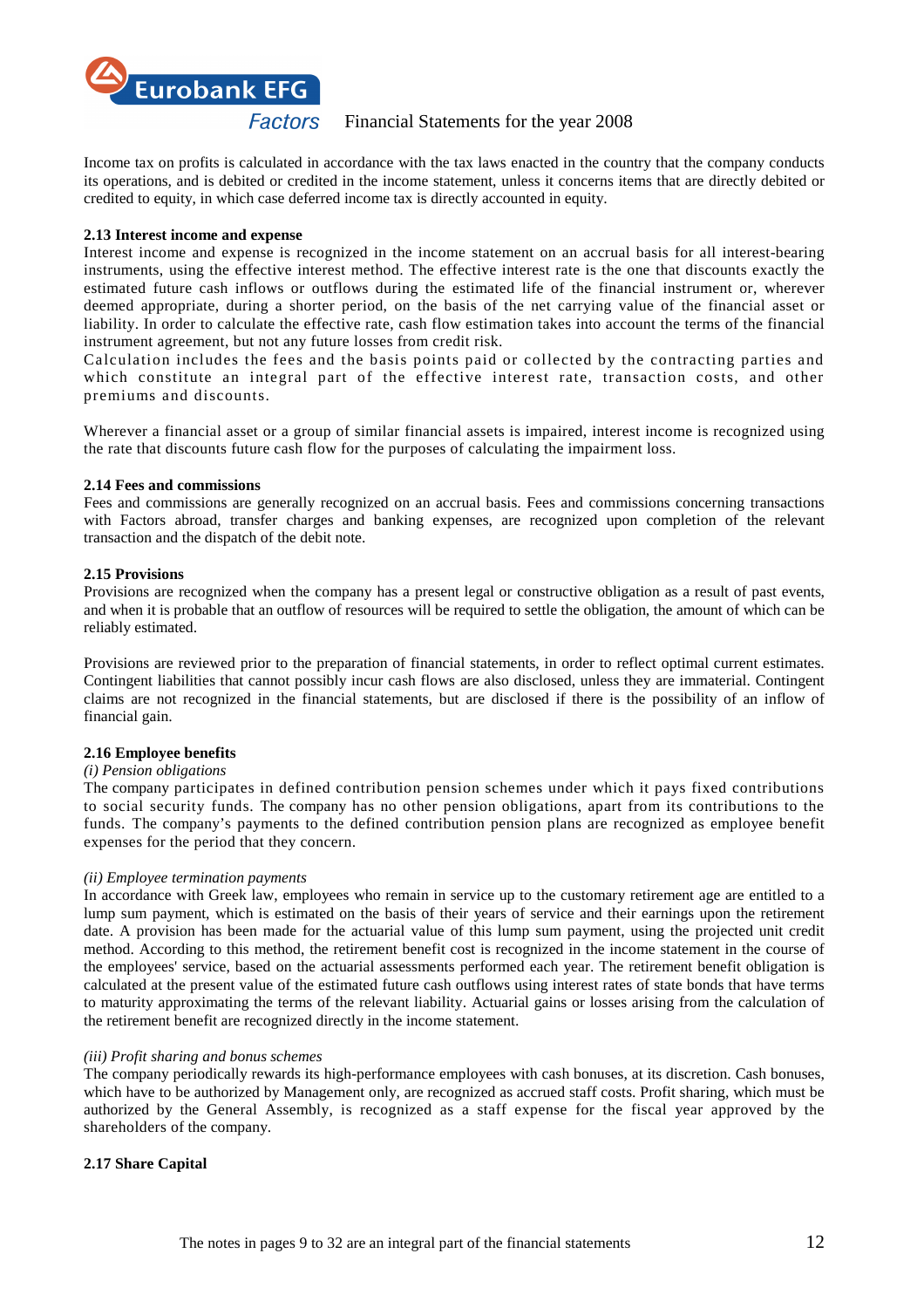

Income tax on profits is calculated in accordance with the tax laws enacted in the country that the company conducts its operations, and is debited or credited in the income statement, unless it concerns items that are directly debited or credited to equity, in which case deferred income tax is directly accounted in equity.

#### **2.13 Interest income and expense**

Interest income and expense is recognized in the income statement on an accrual basis for all interest-bearing instruments, using the effective interest method. The effective interest rate is the one that discounts exactly the estimated future cash inflows or outflows during the estimated life of the financial instrument or, wherever deemed appropriate, during a shorter period, on the basis of the net carrying value of the financial asset or liability. In order to calculate the effective rate, cash flow estimation takes into account the terms of the financial instrument agreement, but not any future losses from credit risk.

Calculation includes the fees and the basis points paid or collected by the contracting parties and which constitute an integral part of the effective interest rate, transaction costs, and other premiums and discounts.

Wherever a financial asset or a group of similar financial assets is impaired, interest income is recognized using the rate that discounts future cash flow for the purposes of calculating the impairment loss.

#### **2.14 Fees and commissions**

Fees and commissions are generally recognized on an accrual basis. Fees and commissions concerning transactions with Factors abroad, transfer charges and banking expenses, are recognized upon completion of the relevant transaction and the dispatch of the debit note.

#### **2.15 Provisions**

Provisions are recognized when the company has a present legal or constructive obligation as a result of past events, and when it is probable that an outflow of resources will be required to settle the obligation, the amount of which can be reliably estimated.

Provisions are reviewed prior to the preparation of financial statements, in order to reflect optimal current estimates. Contingent liabilities that cannot possibly incur cash flows are also disclosed, unless they are immaterial. Contingent claims are not recognized in the financial statements, but are disclosed if there is the possibility of an inflow of financial gain.

# **2.16 Employee benefits**

#### *(i) Pension obligations*

The company participates in defined contribution pension schemes under which it pays fixed contributions to social security funds. The company has no other pension obligations, apart from its contributions to the funds. The company's payments to the defined contribution pension plans are recognized as employee benefit expenses for the period that they concern.

# *(ii) Employee termination payments*

In accordance with Greek law, employees who remain in service up to the customary retirement age are entitled to a lump sum payment, which is estimated on the basis of their years of service and their earnings upon the retirement date. A provision has been made for the actuarial value of this lump sum payment, using the projected unit credit method. According to this method, the retirement benefit cost is recognized in the income statement in the course of the employees' service, based on the actuarial assessments performed each year. The retirement benefit obligation is calculated at the present value of the estimated future cash outflows using interest rates of state bonds that have terms to maturity approximating the terms of the relevant liability. Actuarial gains or losses arising from the calculation of the retirement benefit are recognized directly in the income statement.

#### *(iii) Profit sharing and bonus schemes*

The company periodically rewards its high-performance employees with cash bonuses, at its discretion. Cash bonuses, which have to be authorized by Management only, are recognized as accrued staff costs. Profit sharing, which must be authorized by the General Assembly, is recognized as a staff expense for the fiscal year approved by the shareholders of the company.

# **2.17 Share Capital**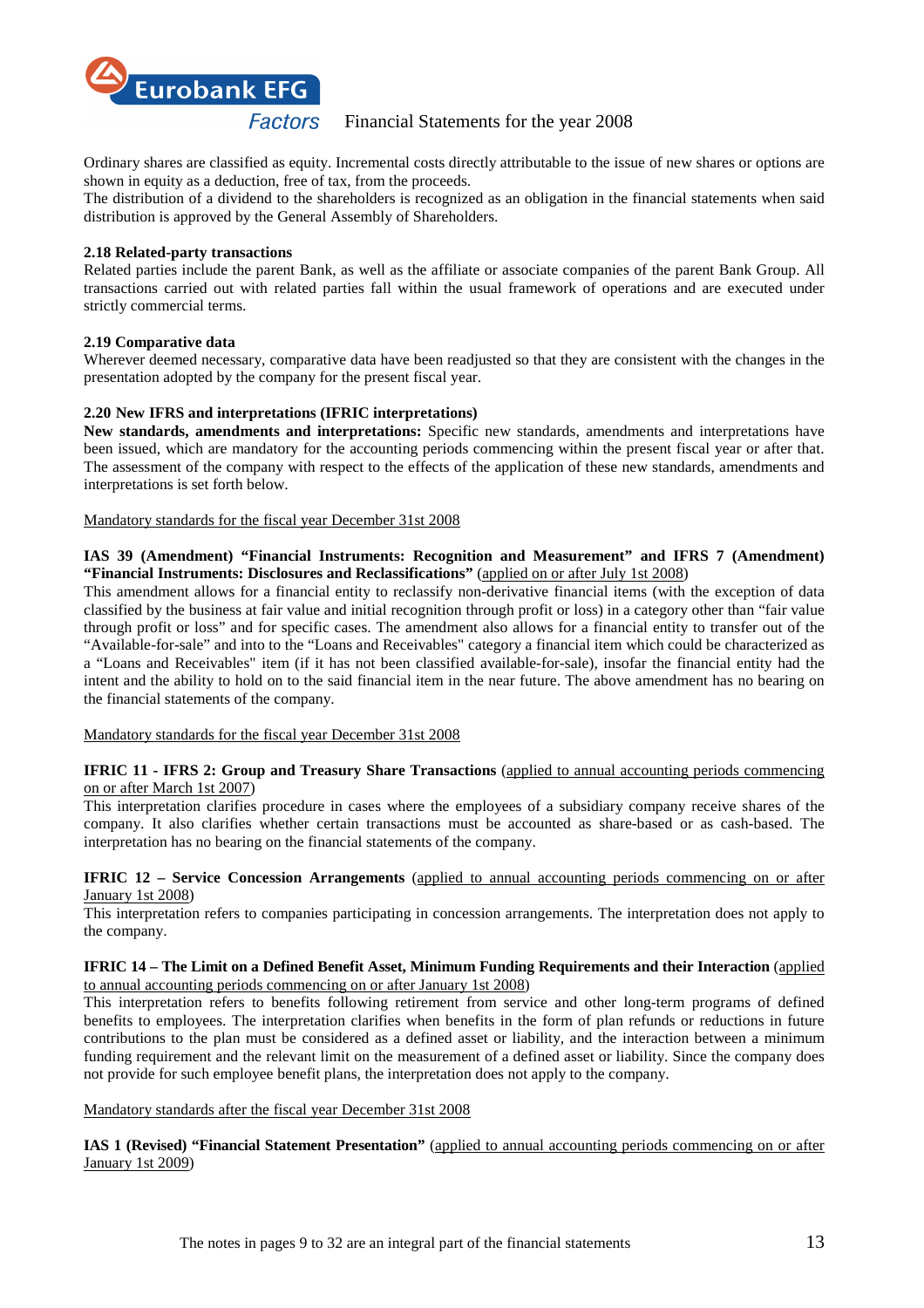

Ordinary shares are classified as equity. Incremental costs directly attributable to the issue of new shares or options are shown in equity as a deduction, free of tax, from the proceeds.

The distribution of a dividend to the shareholders is recognized as an obligation in the financial statements when said distribution is approved by the General Assembly of Shareholders.

#### **2.18 Related-party transactions**

Related parties include the parent Bank, as well as the affiliate or associate companies of the parent Bank Group. All transactions carried out with related parties fall within the usual framework of operations and are executed under strictly commercial terms.

# **2.19 Comparative data**

Wherever deemed necessary, comparative data have been readjusted so that they are consistent with the changes in the presentation adopted by the company for the present fiscal year.

# **2.20 New IFRS and interpretations (IFRIC interpretations)**

**New standards, amendments and interpretations:** Specific new standards, amendments and interpretations have been issued, which are mandatory for the accounting periods commencing within the present fiscal year or after that. The assessment of the company with respect to the effects of the application of these new standards, amendments and interpretations is set forth below.

Mandatory standards for the fiscal year December 31st 2008

#### **IAS 39 (Amendment) "Financial Instruments: Recognition and Measurement" and IFRS 7 (Amendment) "Financial Instruments: Disclosures and Reclassifications"** (applied on or after July 1st 2008)

This amendment allows for a financial entity to reclassify non-derivative financial items (with the exception of data classified by the business at fair value and initial recognition through profit or loss) in a category other than "fair value through profit or loss" and for specific cases. The amendment also allows for a financial entity to transfer out of the "Available-for-sale" and into to the "Loans and Receivables" category a financial item which could be characterized as a "Loans and Receivables" item (if it has not been classified available-for-sale), insofar the financial entity had the intent and the ability to hold on to the said financial item in the near future. The above amendment has no bearing on the financial statements of the company.

Mandatory standards for the fiscal year December 31st 2008

# **IFRIC 11 - IFRS 2: Group and Treasury Share Transactions** (applied to annual accounting periods commencing on or after March 1st 2007)

This interpretation clarifies procedure in cases where the employees of a subsidiary company receive shares of the company. It also clarifies whether certain transactions must be accounted as share-based or as cash-based. The interpretation has no bearing on the financial statements of the company.

#### **IFRIC 12 – Service Concession Arrangements** (applied to annual accounting periods commencing on or after January 1st 2008)

This interpretation refers to companies participating in concession arrangements. The interpretation does not apply to the company.

#### **IFRIC 14 – The Limit on a Defined Benefit Asset, Minimum Funding Requirements and their Interaction** (applied to annual accounting periods commencing on or after January 1st 2008)

This interpretation refers to benefits following retirement from service and other long-term programs of defined benefits to employees. The interpretation clarifies when benefits in the form of plan refunds or reductions in future contributions to the plan must be considered as a defined asset or liability, and the interaction between a minimum funding requirement and the relevant limit on the measurement of a defined asset or liability. Since the company does not provide for such employee benefit plans, the interpretation does not apply to the company.

# Mandatory standards after the fiscal year December 31st 2008

**IAS 1 (Revised) "Financial Statement Presentation"** (applied to annual accounting periods commencing on or after January 1st 2009)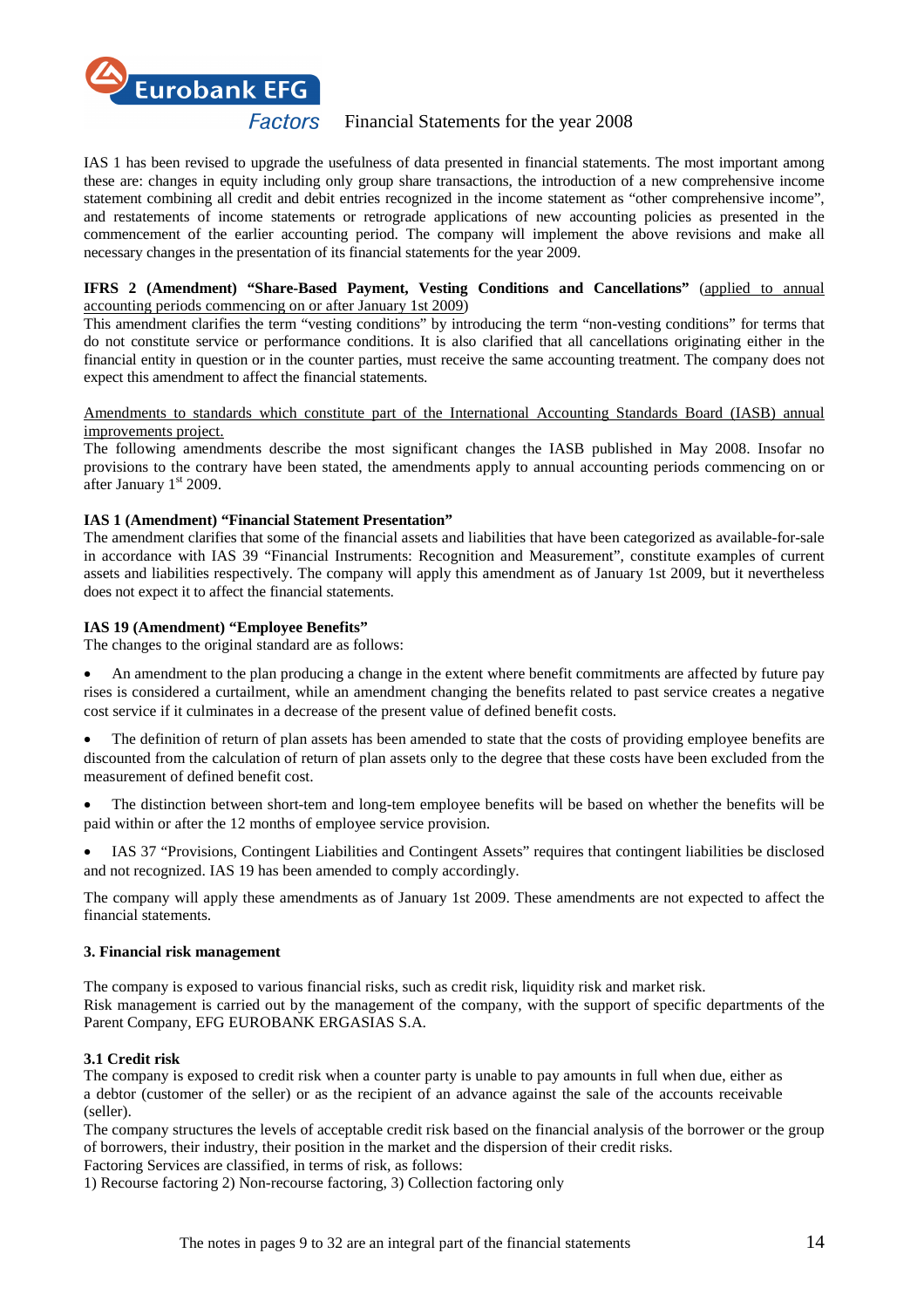

IAS 1 has been revised to upgrade the usefulness of data presented in financial statements. The most important among these are: changes in equity including only group share transactions, the introduction of a new comprehensive income statement combining all credit and debit entries recognized in the income statement as "other comprehensive income", and restatements of income statements or retrograde applications of new accounting policies as presented in the commencement of the earlier accounting period. The company will implement the above revisions and make all necessary changes in the presentation of its financial statements for the year 2009.

# **IFRS 2 (Amendment) "Share-Based Payment, Vesting Conditions and Cancellations"** (applied to annual accounting periods commencing on or after January 1st 2009)

This amendment clarifies the term "vesting conditions" by introducing the term "non-vesting conditions" for terms that do not constitute service or performance conditions. It is also clarified that all cancellations originating either in the financial entity in question or in the counter parties, must receive the same accounting treatment. The company does not expect this amendment to affect the financial statements.

#### Amendments to standards which constitute part of the International Accounting Standards Board (IASB) annual improvements project.

The following amendments describe the most significant changes the IASB published in May 2008. Insofar no provisions to the contrary have been stated, the amendments apply to annual accounting periods commencing on or after January  $1<sup>st</sup>$  2009.

# **IAS 1 (Amendment) "Financial Statement Presentation"**

The amendment clarifies that some of the financial assets and liabilities that have been categorized as available-for-sale in accordance with IAS 39 "Financial Instruments: Recognition and Measurement", constitute examples of current assets and liabilities respectively. The company will apply this amendment as of January 1st 2009, but it nevertheless does not expect it to affect the financial statements.

#### **IAS 19 (Amendment) "Employee Benefits"**

The changes to the original standard are as follows:

- An amendment to the plan producing a change in the extent where benefit commitments are affected by future pay rises is considered a curtailment, while an amendment changing the benefits related to past service creates a negative cost service if it culminates in a decrease of the present value of defined benefit costs.
- The definition of return of plan assets has been amended to state that the costs of providing employee benefits are discounted from the calculation of return of plan assets only to the degree that these costs have been excluded from the measurement of defined benefit cost.
- The distinction between short-tem and long-tem employee benefits will be based on whether the benefits will be paid within or after the 12 months of employee service provision.
- IAS 37 "Provisions, Contingent Liabilities and Contingent Assets" requires that contingent liabilities be disclosed and not recognized. IAS 19 has been amended to comply accordingly.

The company will apply these amendments as of January 1st 2009. These amendments are not expected to affect the financial statements.

#### **3. Financial risk management**

The company is exposed to various financial risks, such as credit risk, liquidity risk and market risk. Risk management is carried out by the management of the company, with the support of specific departments of the Parent Company, EFG EUROBANK ERGASIAS S.A.

# **3.1 Credit risk**

The company is exposed to credit risk when a counter party is unable to pay amounts in full when due, either as a debtor (customer of the seller) or as the recipient of an advance against the sale of the accounts receivable (seller).

The company structures the levels of acceptable credit risk based on the financial analysis of the borrower or the group of borrowers, their industry, their position in the market and the dispersion of their credit risks.

Factoring Services are classified, in terms of risk, as follows:

1) Recourse factoring 2) Non-recourse factoring, 3) Collection factoring only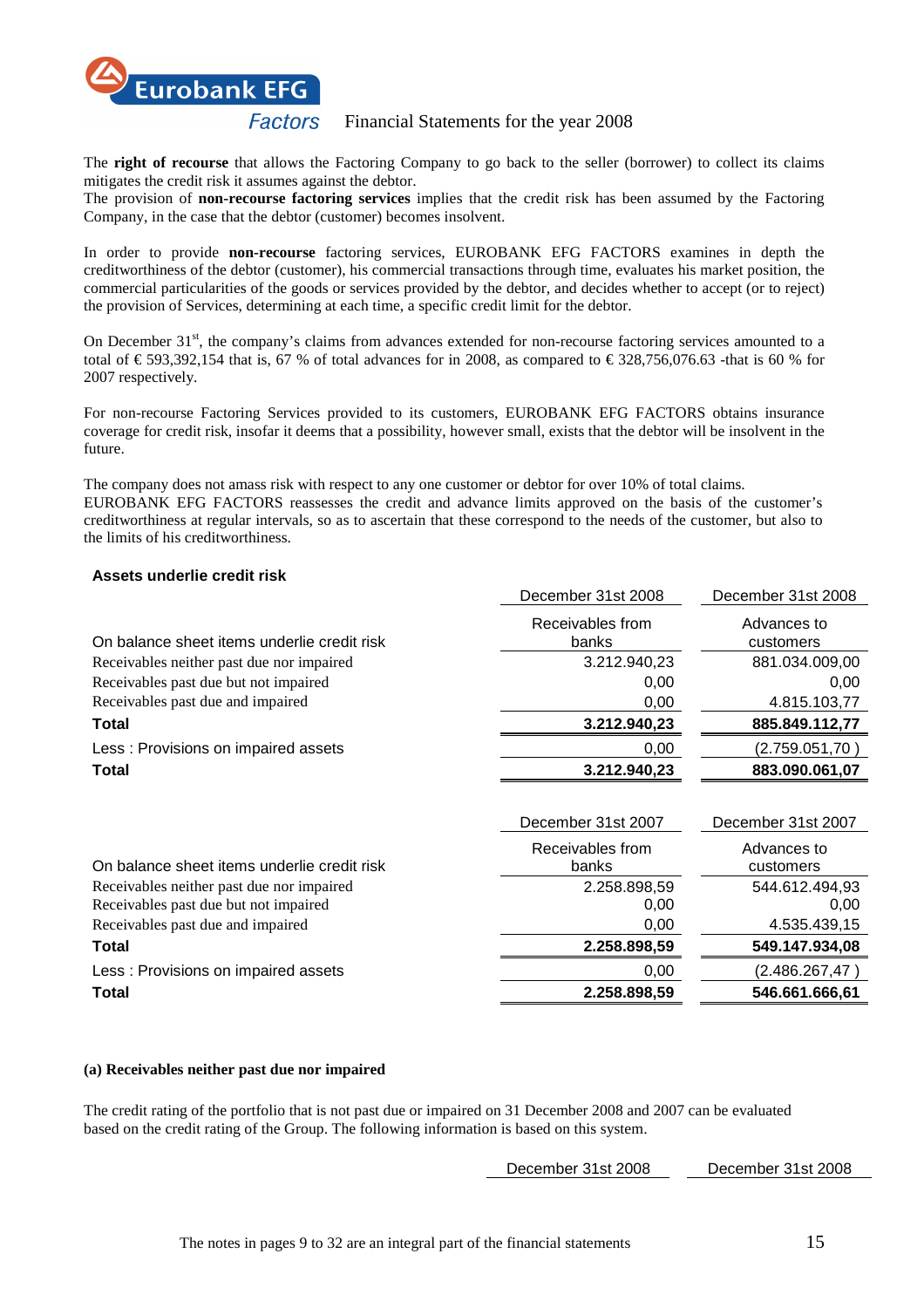

The **right of recourse** that allows the Factoring Company to go back to the seller (borrower) to collect its claims mitigates the credit risk it assumes against the debtor.

The provision of **non-recourse factoring services** implies that the credit risk has been assumed by the Factoring Company, in the case that the debtor (customer) becomes insolvent.

In order to provide **non-recourse** factoring services, EUROBANK EFG FACTORS examines in depth the creditworthiness of the debtor (customer), his commercial transactions through time, evaluates his market position, the commercial particularities of the goods or services provided by the debtor, and decides whether to accept (or to reject) the provision of Services, determining at each time, a specific credit limit for the debtor.

On December  $31<sup>st</sup>$ , the company's claims from advances extended for non-recourse factoring services amounted to a total of  $\in$  593,392,154 that is, 67 % of total advances for in 2008, as compared to  $\in$  328,756,076.63 -hat is 60 % for 2007 respectively.

For non-recourse Factoring Services provided to its customers, EUROBANK EFG FACTORS obtains insurance coverage for credit risk, insofar it deems that a possibility, however small, exists that the debtor will be insolvent in the future.

The company does not amass risk with respect to any one customer or debtor for over 10% of total claims. EUROBANK EFG FACTORS reassesses the credit and advance limits approved on the basis of the customer's creditworthiness at regular intervals, so as to ascertain that these correspond to the needs of the customer, but also to the limits of his creditworthiness.

# **Assets underlie credit risk**

| December 31st 2008        | December 31st 2008       |
|---------------------------|--------------------------|
| Receivables from<br>banks | Advances to<br>customers |
| 3.212.940,23              | 881.034.009,00           |
| 0,00                      | 0,00                     |
| 0,00                      | 4.815.103,77             |
| 3.212.940,23              | 885.849.112,77           |
| 0,00                      | (2.759.051, 70)          |
| 3.212.940,23              | 883.090.061,07           |
|                           |                          |
| December 31st 2007        | December 31st 2007       |
| Receivables from          | Advances to              |
|                           |                          |
| banks                     | customers                |
| 2.258.898,59              | 544.612.494,93           |
| 0,00                      | 0,00                     |
| 0,00                      | 4.535.439,15             |
| 2.258.898,59              | 549.147.934,08           |
| 0,00                      | (2.486.267, 47)          |
|                           |                          |

#### **(a) Receivables neither past due nor impaired**

The credit rating of the portfolio that is not past due or impaired on 31 December 2008 and 2007 can be evaluated based on the credit rating of the Group. The following information is based on this system.

December 31st 2008 December 31st 2008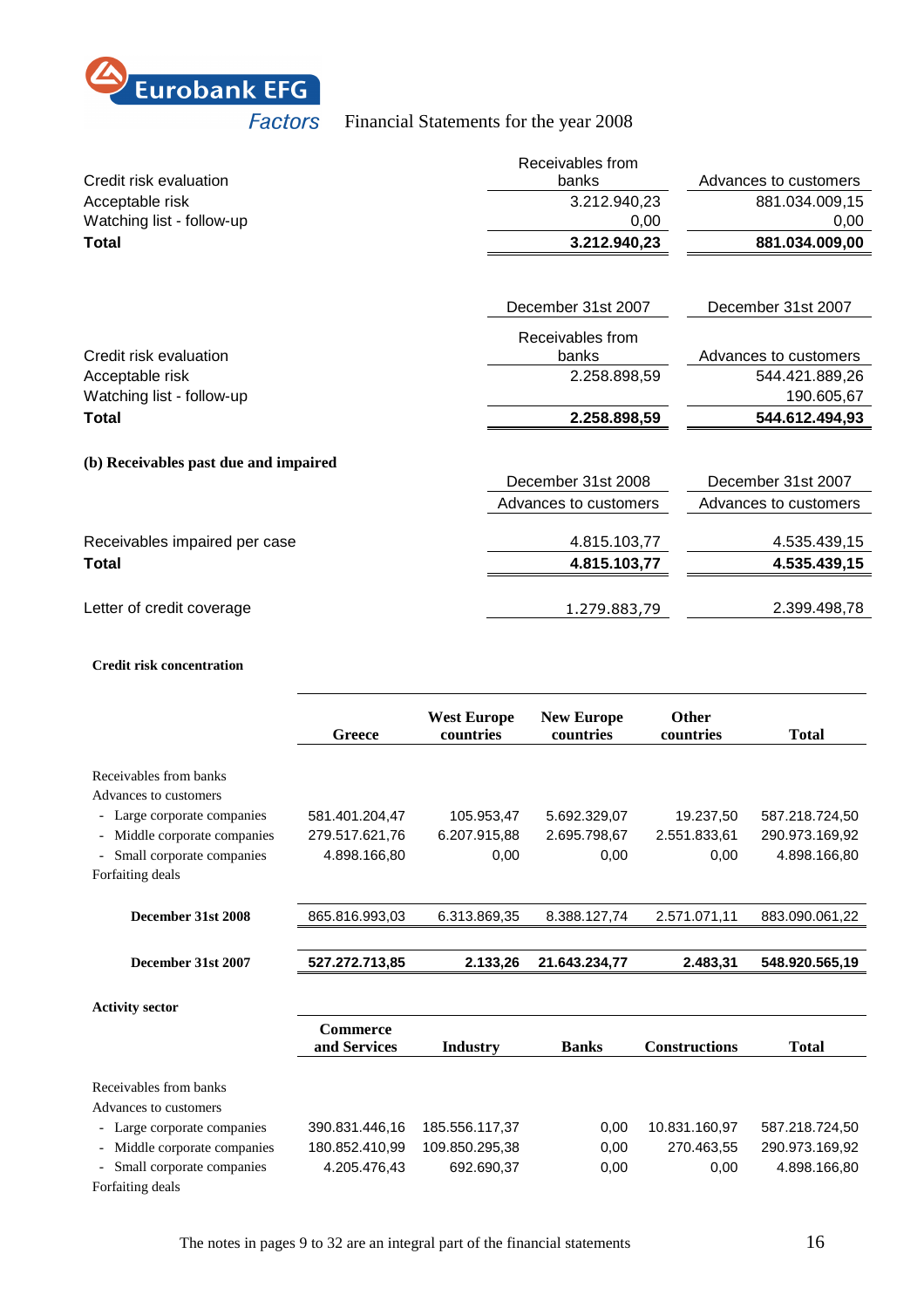

|                                       | Receivables from      |                       |
|---------------------------------------|-----------------------|-----------------------|
| Credit risk evaluation                | banks                 | Advances to customers |
| Acceptable risk                       | 3.212.940,23          | 881.034.009,15        |
| Watching list - follow-up             | 0,00                  | 0,00                  |
| Total                                 | 3.212.940,23          | 881.034.009,00        |
|                                       |                       |                       |
|                                       | December 31st 2007    | December 31st 2007    |
|                                       | Receivables from      |                       |
| Credit risk evaluation                | banks                 | Advances to customers |
| Acceptable risk                       | 2.258.898,59          | 544.421.889,26        |
| Watching list - follow-up             |                       | 190.605,67            |
| <b>Total</b>                          | 2.258.898,59          | 544.612.494,93        |
| (b) Receivables past due and impaired |                       |                       |
|                                       | December 31st 2008    | December 31st 2007    |
|                                       | Advances to customers | Advances to customers |
| Receivables impaired per case         | 4.815.103,77          | 4.535.439,15          |
| Total                                 | 4.815.103,77          | 4.535.439,15          |
| Letter of credit coverage             | 1.279.883,79          | 2.399.498,78          |

#### **Credit risk concentration**

|                             | Greece                          | <b>West Europe</b><br>countries | <b>New Europe</b><br>countries | Other<br>countries   | <b>Total</b>   |
|-----------------------------|---------------------------------|---------------------------------|--------------------------------|----------------------|----------------|
| Receivables from banks      |                                 |                                 |                                |                      |                |
| Advances to customers       |                                 |                                 |                                |                      |                |
| - Large corporate companies | 581.401.204,47                  | 105.953,47                      | 5.692.329,07                   | 19.237,50            | 587.218.724,50 |
| Middle corporate companies  | 279.517.621,76                  | 6.207.915,88                    | 2.695.798,67                   | 2.551.833,61         | 290.973.169,92 |
| Small corporate companies   | 4.898.166.80                    | 0,00                            | 0,00                           | 0,00                 | 4.898.166.80   |
| Forfaiting deals            |                                 |                                 |                                |                      |                |
| December 31st 2008          | 865.816.993,03                  | 6.313.869,35                    | 8.388.127,74                   | 2.571.071,11         | 883.090.061,22 |
|                             |                                 |                                 |                                |                      |                |
| December 31st 2007          | 527.272.713,85                  | 2.133,26                        | 21.643.234,77                  | 2.483,31             | 548.920.565,19 |
| <b>Activity sector</b>      |                                 |                                 |                                |                      |                |
|                             | <b>Commerce</b><br>and Services | <b>Industry</b>                 | <b>Banks</b>                   | <b>Constructions</b> | <b>Total</b>   |
|                             |                                 |                                 |                                |                      |                |
| Receivables from banks      |                                 |                                 |                                |                      |                |
| Advances to customers       |                                 |                                 |                                |                      |                |
| Large corporate companies   | 390.831.446,16                  | 185.556.117,37                  | 0,00                           | 10.831.160,97        | 587.218.724,50 |
| Middle corporate companies  | 180.852.410,99                  | 109.850.295,38                  | 0,00                           | 270.463,55           | 290.973.169,92 |
| Small corporate companies   | 4.205.476,43                    | 692.690,37                      | 0,00                           | 0,00                 | 4.898.166.80   |
| Forfaiting deals            |                                 |                                 |                                |                      |                |

The notes in pages 9 to 32 are an integral part of the financial statements 16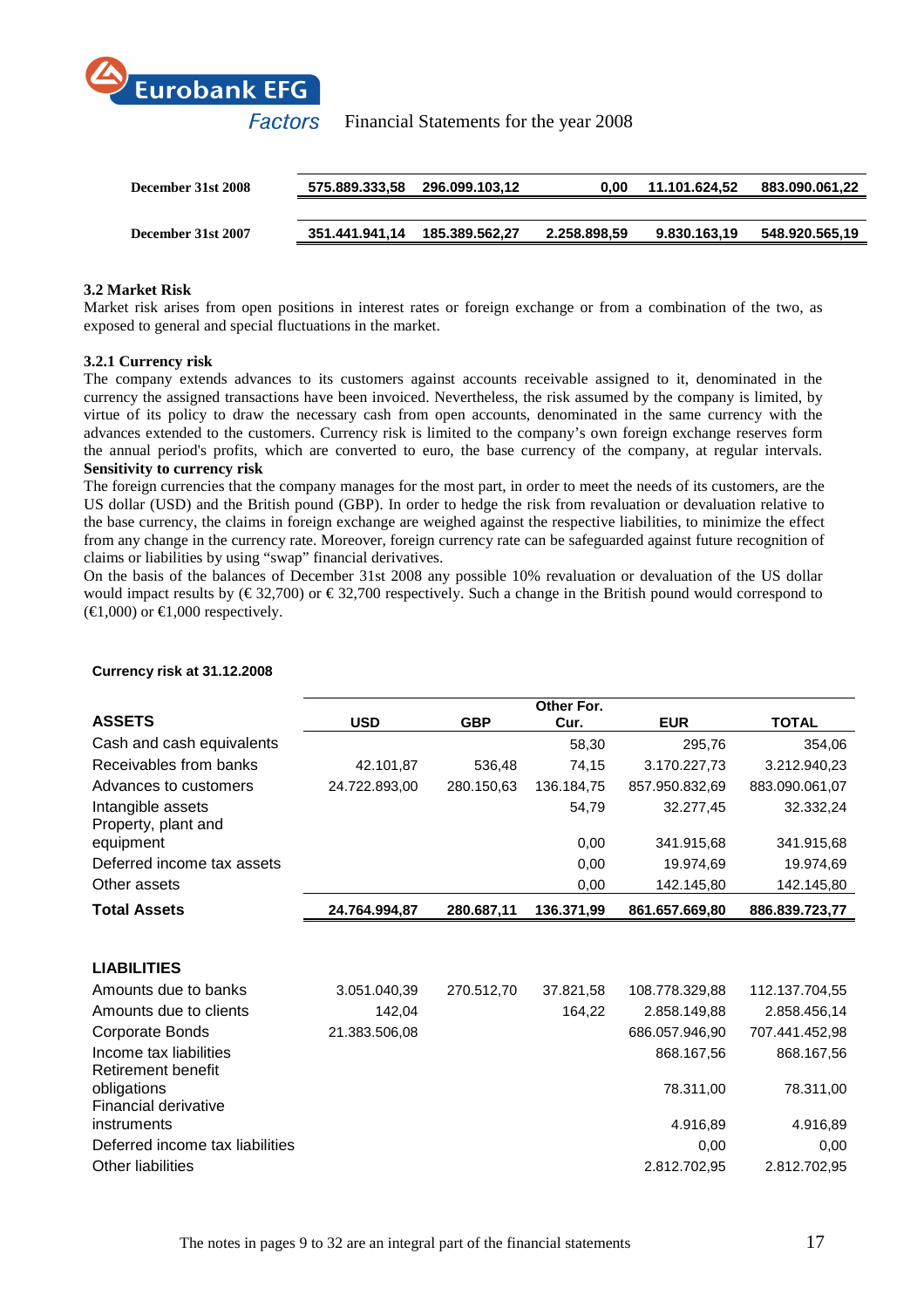

| December 31st 2008 | 575.889.333,58 296.099.103,12 | 0.00         | 11.101.624.52 | 883.090.061,22 |
|--------------------|-------------------------------|--------------|---------------|----------------|
|                    |                               |              |               |                |
| December 31st 2007 |                               | 2.258.898.59 | 9.830.163.19  | 548.920.565,19 |
|                    |                               |              |               |                |

# **3.2 Market Risk**

Market risk arises from open positions in interest rates or foreign exchange or from a combination of the two, as exposed to general and special fluctuations in the market.

# **3.2.1 Currency risk**

The company extends advances to its customers against accounts receivable assigned to it, denominated in the currency the assigned transactions have been invoiced. Nevertheless, the risk assumed by the company is limited, by virtue of its policy to draw the necessary cash from open accounts, denominated in the same currency with the advances extended to the customers. Currency risk is limited to the company's own foreign exchange reserves form the annual period's profits, which are converted to euro, the base currency of the company, at regular intervals. **Sensitivity to currency risk**

The foreign currencies that the company manages for the most part, in order to meet the needs of its customers, are the US dollar (USD) and the British pound (GBP). In order to hedge the risk from revaluation or devaluation relative to the base currency, the claims in foreign exchange are weighed against the respective liabilities, to minimize the effect from any change in the currency rate. Moreover, foreign currency rate can be safeguarded against future recognition of claims or liabilities by using "swap" financial derivatives.

On the basis of the balances of December 31st 2008 any possible 10% revaluation or devaluation of the US dollar would impact results by ( $\epsilon$  32,700) or  $\epsilon$  32,700 respectively. Such a change in the British pound would correspond to  $(\text{€1,000})$  or  $\text{€1,000}$  respectively.

|                                              |               |            | Other For. |                |                |
|----------------------------------------------|---------------|------------|------------|----------------|----------------|
| <b>ASSETS</b>                                | <b>USD</b>    | <b>GBP</b> | Cur.       | <b>EUR</b>     | <b>TOTAL</b>   |
| Cash and cash equivalents                    |               |            | 58,30      | 295,76         | 354,06         |
| Receivables from banks                       | 42.101,87     | 536,48     | 74,15      | 3.170.227,73   | 3.212.940,23   |
| Advances to customers                        | 24.722.893,00 | 280.150,63 | 136.184,75 | 857.950.832,69 | 883.090.061,07 |
| Intangible assets<br>Property, plant and     |               |            | 54,79      | 32.277,45      | 32.332,24      |
| equipment                                    |               |            | 0,00       | 341.915,68     | 341.915,68     |
| Deferred income tax assets                   |               |            | 0,00       | 19.974,69      | 19.974,69      |
| Other assets                                 |               |            | 0,00       | 142.145,80     | 142.145,80     |
| <b>Total Assets</b>                          | 24.764.994,87 | 280.687,11 | 136.371,99 | 861.657.669,80 | 886.839.723,77 |
|                                              |               |            |            |                |                |
| <b>LIABILITIES</b>                           |               |            |            |                |                |
| Amounts due to banks                         | 3.051.040,39  | 270.512,70 | 37.821,58  | 108.778.329,88 | 112.137.704,55 |
| Amounts due to clients                       | 142,04        |            | 164,22     | 2.858.149,88   | 2.858.456,14   |
| <b>Corporate Bonds</b>                       | 21.383.506,08 |            |            | 686.057.946,90 | 707.441.452,98 |
| Income tax liabilities<br>Retirement benefit |               |            |            | 868.167,56     | 868.167,56     |
| obligations<br>Financial derivative          |               |            |            | 78.311,00      | 78.311,00      |
| instruments                                  |               |            |            | 4.916,89       | 4.916,89       |
| Deferred income tax liabilities              |               |            |            | 0,00           | 0,00           |
| <b>Other liabilities</b>                     |               |            |            | 2.812.702,95   | 2.812.702,95   |

# **Currency risk at 31.12.2008**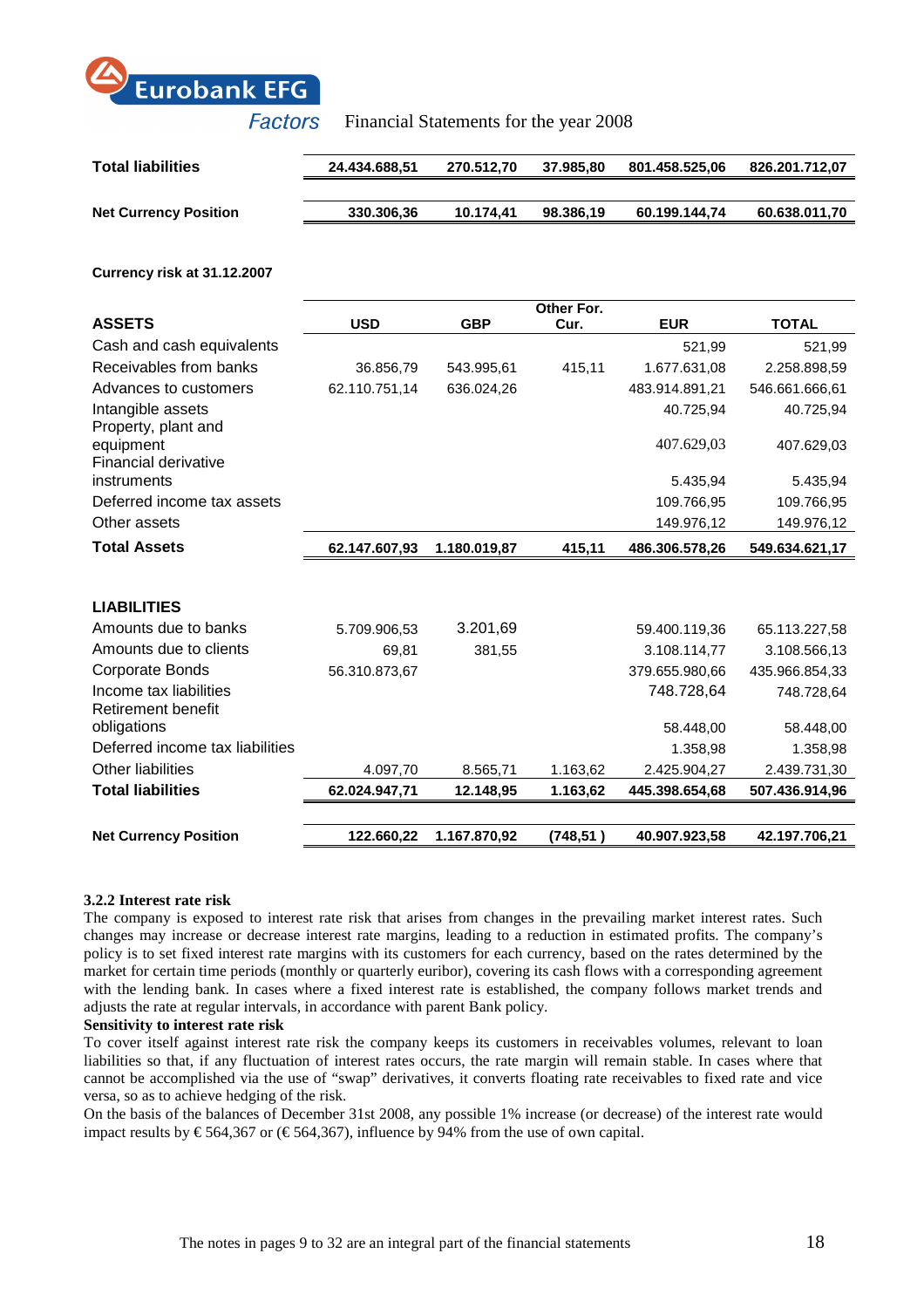

| <b>Total liabilities</b>     | 24.434.688.51 | 270.512.70 | 37.985.80 | 801.458.525,06 | 826.201.712.07 |
|------------------------------|---------------|------------|-----------|----------------|----------------|
|                              |               |            |           |                |                |
| <b>Net Currency Position</b> | 330.306,36    | 10.174.41  | 98.386.19 | 60.199.144.74  | 60.638.011,70  |

**Currency risk at 31.12.2007** 

|                                                     |               |              | Other For. |                |                |
|-----------------------------------------------------|---------------|--------------|------------|----------------|----------------|
| <b>ASSETS</b>                                       | <b>USD</b>    | <b>GBP</b>   | Cur.       | <b>EUR</b>     | <b>TOTAL</b>   |
| Cash and cash equivalents                           |               |              |            | 521,99         | 521,99         |
| Receivables from banks                              | 36.856,79     | 543.995,61   | 415,11     | 1.677.631,08   | 2.258.898,59   |
| Advances to customers                               | 62.110.751,14 | 636.024,26   |            | 483.914.891,21 | 546.661.666,61 |
| Intangible assets<br>Property, plant and            |               |              |            | 40.725,94      | 40.725,94      |
| equipment<br>Financial derivative                   |               |              |            | 407.629,03     | 407.629,03     |
| instruments                                         |               |              |            | 5.435,94       | 5.435,94       |
| Deferred income tax assets                          |               |              |            | 109.766,95     | 109.766,95     |
| Other assets                                        |               |              |            | 149.976,12     | 149.976,12     |
| <b>Total Assets</b>                                 | 62.147.607,93 | 1.180.019,87 | 415,11     | 486.306.578,26 | 549.634.621,17 |
|                                                     |               |              |            |                |                |
| <b>LIABILITIES</b>                                  |               |              |            |                |                |
| Amounts due to banks                                | 5.709.906,53  | 3.201,69     |            | 59.400.119,36  | 65.113.227,58  |
| Amounts due to clients                              | 69,81         | 381,55       |            | 3.108.114,77   | 3.108.566,13   |
| Corporate Bonds                                     | 56.310.873,67 |              |            | 379.655.980,66 | 435.966.854,33 |
| Income tax liabilities<br><b>Retirement benefit</b> |               |              |            | 748.728,64     | 748.728,64     |
| obligations                                         |               |              |            | 58.448,00      | 58.448,00      |
| Deferred income tax liabilities                     |               |              |            | 1.358,98       | 1.358,98       |
| Other liabilities                                   | 4.097,70      | 8.565,71     | 1.163,62   | 2.425.904,27   | 2.439.731,30   |
| <b>Total liabilities</b>                            | 62.024.947,71 | 12.148,95    | 1.163,62   | 445.398.654,68 | 507.436.914,96 |
|                                                     |               |              |            |                |                |
| <b>Net Currency Position</b>                        | 122.660,22    | 1.167.870,92 | (748, 51)  | 40.907.923,58  | 42.197.706,21  |

#### **3.2.2 Interest rate risk**

The company is exposed to interest rate risk that arises from changes in the prevailing market interest rates. Such changes may increase or decrease interest rate margins, leading to a reduction in estimated profits. The company's policy is to set fixed interest rate margins with its customers for each currency, based on the rates determined by the market for certain time periods (monthly or quarterly euribor), covering its cash flows with a corresponding agreement with the lending bank. In cases where a fixed interest rate is established, the company follows market trends and adjusts the rate at regular intervals, in accordance with parent Bank policy.

#### **Sensitivity to interest rate risk**

To cover itself against interest rate risk the company keeps its customers in receivables volumes, relevant to loan liabilities so that, if any fluctuation of interest rates occurs, the rate margin will remain stable. In cases where that cannot be accomplished via the use of "swap" derivatives, it converts floating rate receivables to fixed rate and vice versa, so as to achieve hedging of the risk.

On the basis of the balances of December 31st 2008, any possible 1% increase (or decrease) of the interest rate would impact results by  $\epsilon$  564,367 or ( $\epsilon$  564,367), influence by 94% from the use of own capital.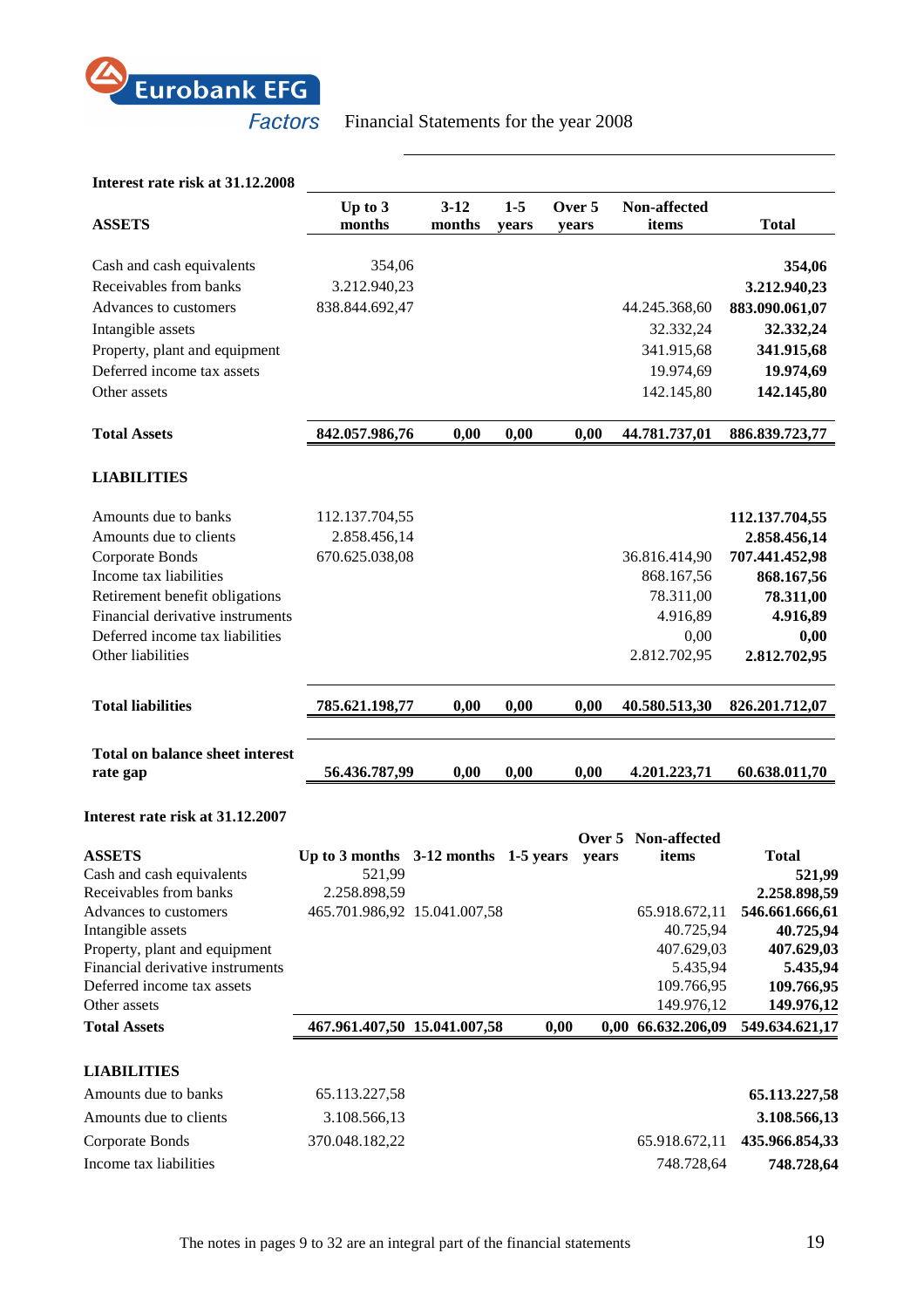

# **Interest rate risk at 31.12.2008**

| <b>ASSETS</b>                                                                  | Up to 3<br>months                                              | $3 - 12$<br>months | $1 - 5$<br>years | Over 5<br>years |        | Non-affected<br>items                    | <b>Total</b>                              |
|--------------------------------------------------------------------------------|----------------------------------------------------------------|--------------------|------------------|-----------------|--------|------------------------------------------|-------------------------------------------|
| Cash and cash equivalents<br>Receivables from banks<br>Advances to customers   | 354,06<br>3.212.940,23<br>838.844.692,47                       |                    |                  |                 |        | 44.245.368,60                            | 354,06<br>3.212.940,23<br>883.090.061,07  |
| Intangible assets<br>Property, plant and equipment                             |                                                                |                    |                  |                 |        | 32.332,24<br>341.915,68                  | 32.332,24<br>341.915,68                   |
| Deferred income tax assets<br>Other assets                                     |                                                                |                    |                  |                 |        | 19.974,69<br>142.145,80                  | 19.974,69<br>142.145,80                   |
| <b>Total Assets</b>                                                            | 842.057.986,76                                                 | 0,00               | 0,00             |                 | 0,00   | 44.781.737,01                            | 886.839.723,77                            |
| <b>LIABILITIES</b>                                                             |                                                                |                    |                  |                 |        |                                          |                                           |
| Amounts due to banks<br>Amounts due to clients                                 | 112.137.704,55<br>2.858.456,14                                 |                    |                  |                 |        |                                          | 112.137.704,55<br>2.858.456,14            |
| Corporate Bonds<br>Income tax liabilities<br>Retirement benefit obligations    | 670.625.038,08                                                 |                    |                  |                 |        | 36.816.414,90<br>868.167,56              | 707.441.452,98<br>868.167,56<br>78.311,00 |
| Financial derivative instruments<br>Deferred income tax liabilities            |                                                                |                    |                  |                 |        | 78.311,00<br>4.916,89<br>0,00            | 4.916,89<br>0,00                          |
| Other liabilities                                                              |                                                                |                    |                  |                 |        | 2.812.702,95                             | 2.812.702,95                              |
| <b>Total liabilities</b>                                                       | 785.621.198,77                                                 | 0,00               | 0,00             |                 | 0,00   | 40.580.513,30                            | 826.201.712,07                            |
| <b>Total on balance sheet interest</b><br>rate gap                             | 56.436.787,99                                                  | 0,00               | 0,00             |                 | 0,00   | 4.201.223,71                             | 60.638.011,70                             |
| Interest rate risk at 31.12.2007                                               |                                                                |                    |                  |                 | Over 5 | Non-affected                             |                                           |
| <b>ASSETS</b><br>Cash and cash equivalents<br>Receivables from banks           | Up to 3 months 3-12 months 1-5 years<br>521,99<br>2.258.898,59 |                    |                  |                 | years  | items                                    | <b>Total</b><br>521,99<br>2.258.898,59    |
| Advances to customers<br>Intangible assets<br>Property, plant and equipment    | 465.701.986,92 15.041.007,58                                   |                    |                  |                 |        | 65.918.672,11<br>40.725,94<br>407.629,03 | 546.661.666,61<br>40.725,94<br>407.629,03 |
| Financial derivative instruments<br>Deferred income tax assets<br>Other assets |                                                                |                    |                  |                 |        | 5.435,94<br>109.766,95<br>149.976,12     | 5.435,94<br>109.766,95<br>149.976,12      |
| <b>Total Assets</b>                                                            | 467.961.407,50 15.041.007,58                                   |                    |                  | 0,00            |        | 0,00 66.632.206,09                       | 549.634.621,17                            |
| <b>LIABILITIES</b>                                                             |                                                                |                    |                  |                 |        |                                          |                                           |
| Amounts due to banks                                                           | 65.113.227,58                                                  |                    |                  |                 |        |                                          | 65.113.227,58                             |
| Amounts due to clients                                                         | 3.108.566,13                                                   |                    |                  |                 |        |                                          | 3.108.566,13                              |
| Corporate Bonds<br>Income tax liabilities                                      | 370.048.182,22                                                 |                    |                  |                 |        | 65.918.672,11<br>748.728,64              | 435.966.854,33<br>748.728,64              |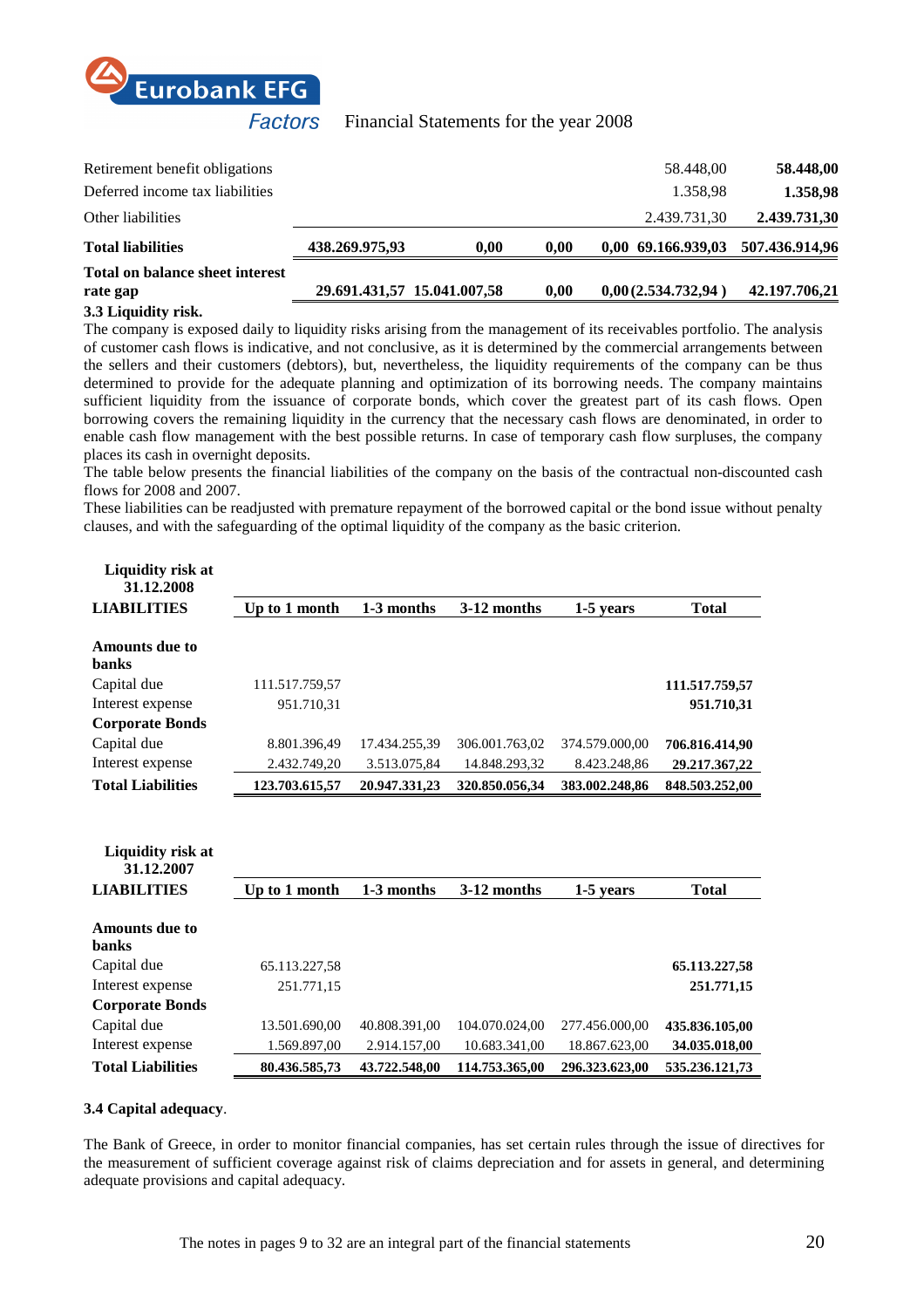

| <b>Total on balance sheet interest</b><br>rate gap | 29.691.431,57 15.041.007,58 |      | 0.00 | 0,00(2.534.732,94) | 42,197,706,21  |
|----------------------------------------------------|-----------------------------|------|------|--------------------|----------------|
| <b>Total liabilities</b>                           | 438.269.975,93              | 0.00 | 0.00 | 0,00 69.166.939,03 | 507.436.914,96 |
| Other liabilities                                  |                             |      |      | 2.439.731,30       | 2.439.731,30   |
| Deferred income tax liabilities                    |                             |      |      | 1.358,98           | 1.358,98       |
| Retirement benefit obligations                     |                             |      |      | 58.448,00          | 58.448,00      |
|                                                    |                             |      |      |                    |                |

#### **3.3 Liquidity risk.**

The company is exposed daily to liquidity risks arising from the management of its receivables portfolio. The analysis of customer cash flows is indicative, and not conclusive, as it is determined by the commercial arrangements between the sellers and their customers (debtors), but, nevertheless, the liquidity requirements of the company can be thus determined to provide for the adequate planning and optimization of its borrowing needs. The company maintains sufficient liquidity from the issuance of corporate bonds, which cover the greatest part of its cash flows. Open borrowing covers the remaining liquidity in the currency that the necessary cash flows are denominated, in order to enable cash flow management with the best possible returns. In case of temporary cash flow surpluses, the company places its cash in overnight deposits.

The table below presents the financial liabilities of the company on the basis of the contractual non-discounted cash flows for 2008 and 2007.

These liabilities can be readjusted with premature repayment of the borrowed capital or the bond issue without penalty clauses, and with the safeguarding of the optimal liquidity of the company as the basic criterion.

| <b>Liquidity risk at</b><br>31.12.2008 |                |               |                |                |                |
|----------------------------------------|----------------|---------------|----------------|----------------|----------------|
| <b>LIABILITIES</b>                     | Up to 1 month  | 1-3 months    | 3-12 months    | 1-5 years      | <b>Total</b>   |
| <b>Amounts due to</b>                  |                |               |                |                |                |
| <b>banks</b>                           |                |               |                |                |                |
| Capital due                            | 111.517.759,57 |               |                |                | 111.517.759,57 |
| Interest expense                       | 951.710,31     |               |                |                | 951.710,31     |
| <b>Corporate Bonds</b>                 |                |               |                |                |                |
| Capital due                            | 8.801.396,49   | 17.434.255,39 | 306.001.763,02 | 374.579.000,00 | 706.816.414,90 |
| Interest expense                       | 2.432.749,20   | 3.513.075,84  | 14.848.293,32  | 8.423.248,86   | 29.217.367,22  |
| <b>Total Liabilities</b>               | 123.703.615,57 | 20.947.331,23 | 320.850.056,34 | 383.002.248,86 | 848.503.252,00 |
| Liquidity risk at<br>31.12.2007        |                |               |                |                |                |
| <b>LIABILITIES</b>                     | Up to 1 month  | 1-3 months    | 3-12 months    | 1-5 years      | <b>Total</b>   |
| <b>Amounts due to</b><br><b>banks</b>  |                |               |                |                |                |
| Capital due                            | 65.113.227,58  |               |                |                | 65.113.227,58  |
| Interest expense                       |                |               |                |                |                |
| <b>Corporate Bonds</b>                 | 251.771,15     |               |                |                | 251.771,15     |
|                                        |                |               |                |                |                |
| Capital due                            | 13.501.690,00  | 40.808.391,00 | 104.070.024,00 | 277.456.000,00 | 435.836.105,00 |
| Interest expense                       | 1.569.897,00   | 2.914.157,00  | 10.683.341,00  | 18.867.623,00  | 34.035.018,00  |

#### **3.4 Capital adequacy**.

The Bank of Greece, in order to monitor financial companies, has set certain rules through the issue of directives for the measurement of sufficient coverage against risk of claims depreciation and for assets in general, and determining adequate provisions and capital adequacy.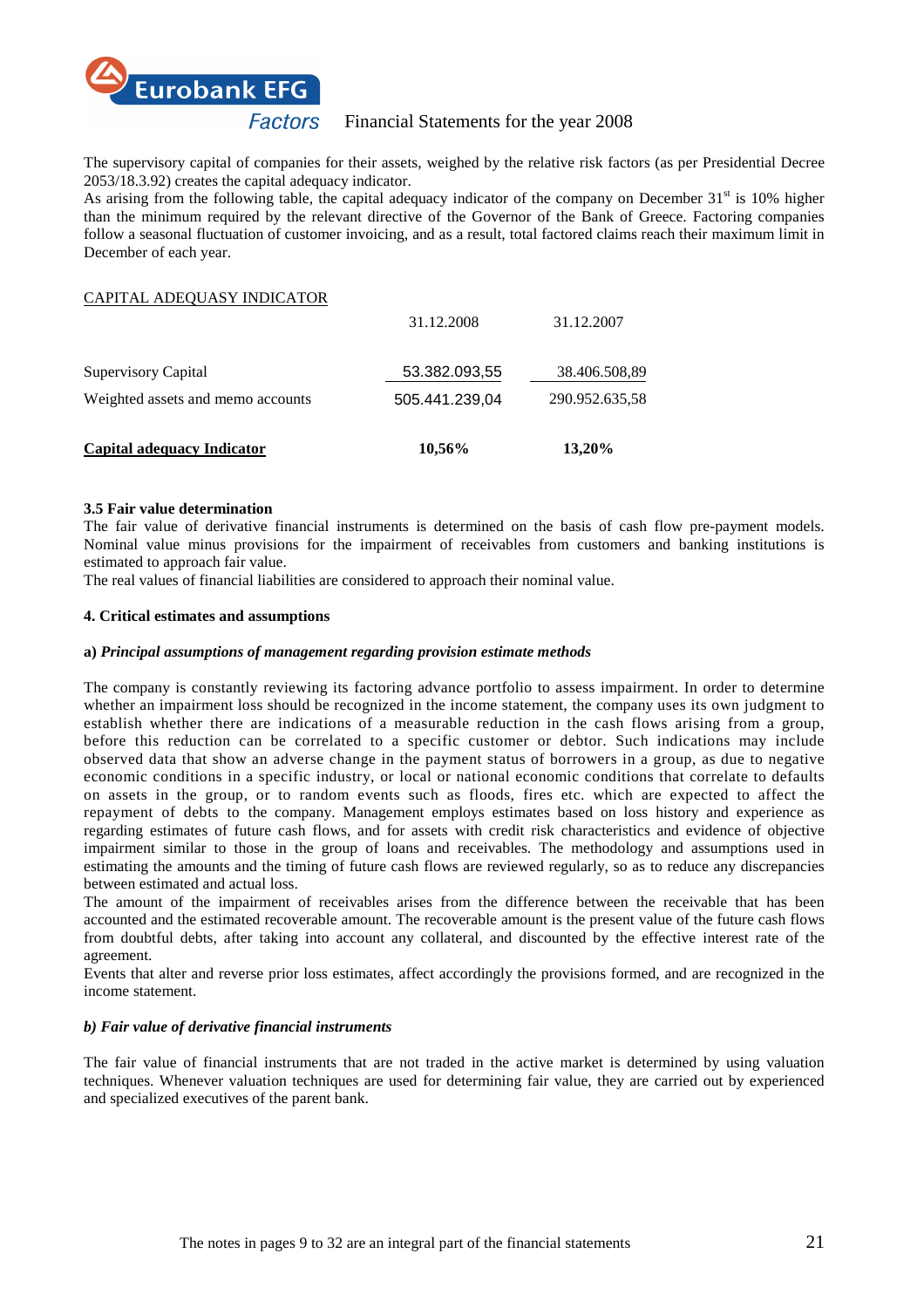

The supervisory capital of companies for their assets, weighed by the relative risk factors (as per Presidential Decree 2053/18.3.92) creates the capital adequacy indicator.

As arising from the following table, the capital adequacy indicator of the company on December  $31<sup>st</sup>$  is 10% higher than the minimum required by the relevant directive of the Governor of the Bank of Greece. Factoring companies follow a seasonal fluctuation of customer invoicing, and as a result, total factored claims reach their maximum limit in December of each year.

# CAPITAL ADEQUASY INDICATOR

| <b>Capital adequacy Indicator</b> | 10,56%         | 13,20%         |
|-----------------------------------|----------------|----------------|
| Weighted assets and memo accounts | 505.441.239,04 | 290.952.635,58 |
| Supervisory Capital               | 53.382.093,55  | 38.406.508,89  |
|                                   | 31.12.2008     | 31.12.2007     |

#### **3.5 Fair value determination**

The fair value of derivative financial instruments is determined on the basis of cash flow pre-payment models. Nominal value minus provisions for the impairment of receivables from customers and banking institutions is estimated to approach fair value.

The real values of financial liabilities are considered to approach their nominal value.

# **4. Critical estimates and assumptions**

#### **a)** *Principal assumptions of management regarding provision estimate methods*

The company is constantly reviewing its factoring advance portfolio to assess impairment. In order to determine whether an impairment loss should be recognized in the income statement, the company uses its own judgment to establish whether there are indications of a measurable reduction in the cash flows arising from a group, before this reduction can be correlated to a specific customer or debtor. Such indications may include observed data that show an adverse change in the payment status of borrowers in a group, as due to negative economic conditions in a specific industry, or local or national economic conditions that correlate to defaults on assets in the group, or to random events such as floods, fires etc. which are expected to affect the repayment of debts to the company. Management employs estimates based on loss history and experience as regarding estimates of future cash flows, and for assets with credit risk characteristics and evidence of objective impairment similar to those in the group of loans and receivables. The methodology and assumptions used in estimating the amounts and the timing of future cash flows are reviewed regularly, so as to reduce any discrepancies between estimated and actual loss.

The amount of the impairment of receivables arises from the difference between the receivable that has been accounted and the estimated recoverable amount. The recoverable amount is the present value of the future cash flows from doubtful debts, after taking into account any collateral, and discounted by the effective interest rate of the agreement.

Events that alter and reverse prior loss estimates, affect accordingly the provisions formed, and are recognized in the income statement.

#### *b) Fair value of derivative financial instruments*

The fair value of financial instruments that are not traded in the active market is determined by using valuation techniques. Whenever valuation techniques are used for determining fair value, they are carried out by experienced and specialized executives of the parent bank.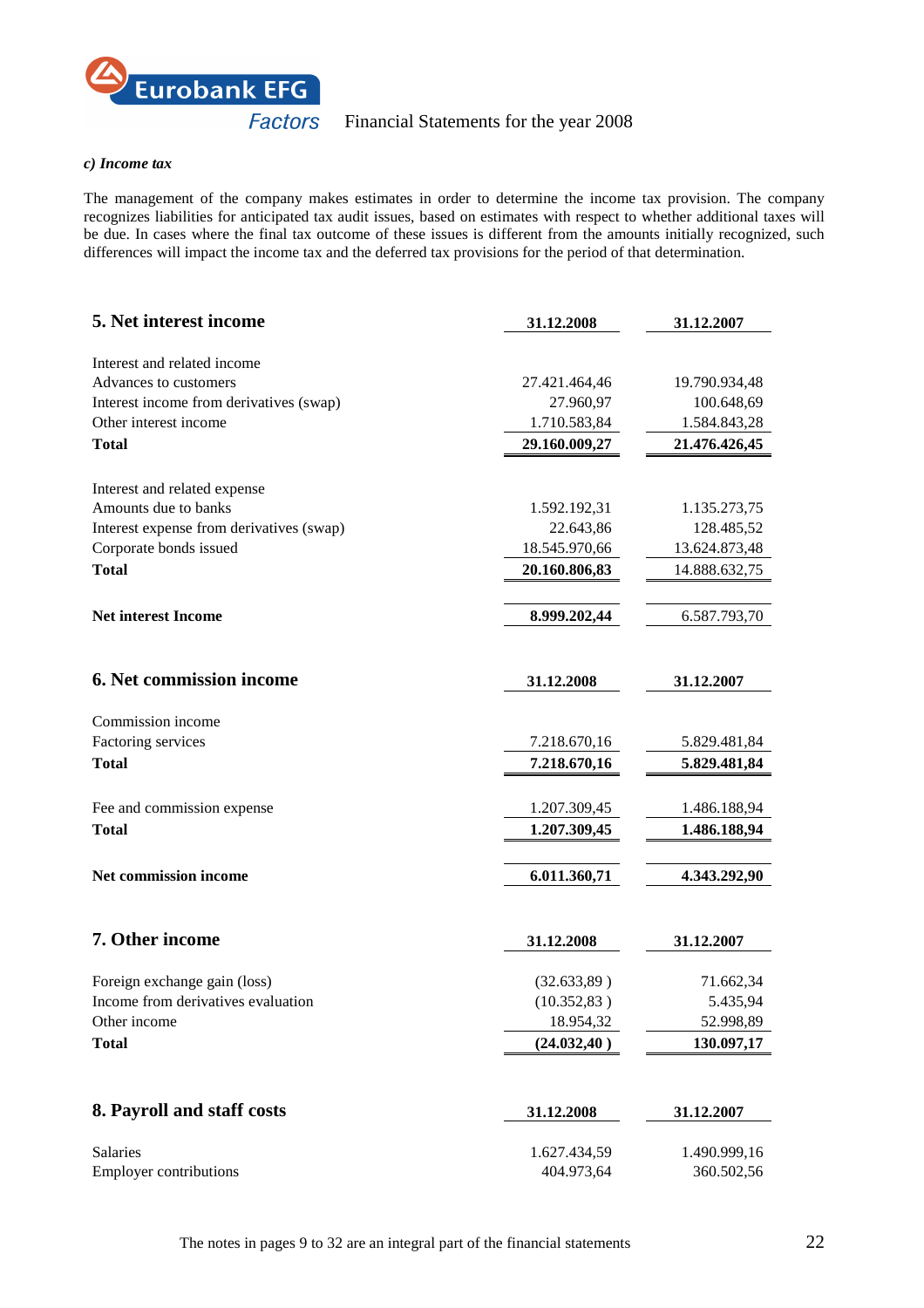

#### *c) Income tax*

The management of the company makes estimates in order to determine the income tax provision. The company recognizes liabilities for anticipated tax audit issues, based on estimates with respect to whether additional taxes will be due. In cases where the final tax outcome of these issues is different from the amounts initially recognized, such differences will impact the income tax and the deferred tax provisions for the period of that determination.

| 5. Net interest income                   | 31.12.2008    | 31.12.2007    |
|------------------------------------------|---------------|---------------|
| Interest and related income              |               |               |
| Advances to customers                    | 27.421.464,46 | 19.790.934,48 |
| Interest income from derivatives (swap)  | 27.960,97     | 100.648,69    |
| Other interest income                    | 1.710.583,84  | 1.584.843,28  |
| <b>Total</b>                             | 29.160.009,27 | 21.476.426,45 |
|                                          |               |               |
| Interest and related expense             |               |               |
| Amounts due to banks                     | 1.592.192,31  | 1.135.273,75  |
| Interest expense from derivatives (swap) | 22.643,86     | 128.485,52    |
| Corporate bonds issued                   | 18.545.970,66 | 13.624.873,48 |
| <b>Total</b>                             | 20.160.806,83 | 14.888.632,75 |
| <b>Net interest Income</b>               | 8.999.202,44  | 6.587.793,70  |
|                                          |               |               |
|                                          |               |               |
| 6. Net commission income                 | 31.12.2008    | 31.12.2007    |
| Commission income                        |               |               |
| Factoring services                       | 7.218.670,16  | 5.829.481,84  |
| <b>Total</b>                             | 7.218.670,16  | 5.829.481,84  |
|                                          |               |               |
| Fee and commission expense               | 1.207.309,45  | 1.486.188,94  |
| <b>Total</b>                             | 1.207.309,45  | 1.486.188,94  |
|                                          |               |               |
| Net commission income                    | 6.011.360,71  | 4.343.292,90  |
|                                          |               |               |
| 7. Other income                          | 31.12.2008    | 31.12.2007    |
| Foreign exchange gain (loss)             | (32.633,89)   | 71.662,34     |
| Income from derivatives evaluation       | (10.352, 83)  | 5.435,94      |
| Other income                             | 18.954,32     | 52.998,89     |
| <b>Total</b>                             | (24.032, 40)  | 130.097,17    |
|                                          |               |               |
|                                          |               |               |
| 8. Payroll and staff costs               | 31.12.2008    | 31.12.2007    |
| Salaries                                 | 1.627.434,59  | 1.490.999,16  |
| <b>Employer contributions</b>            | 404.973,64    | 360.502,56    |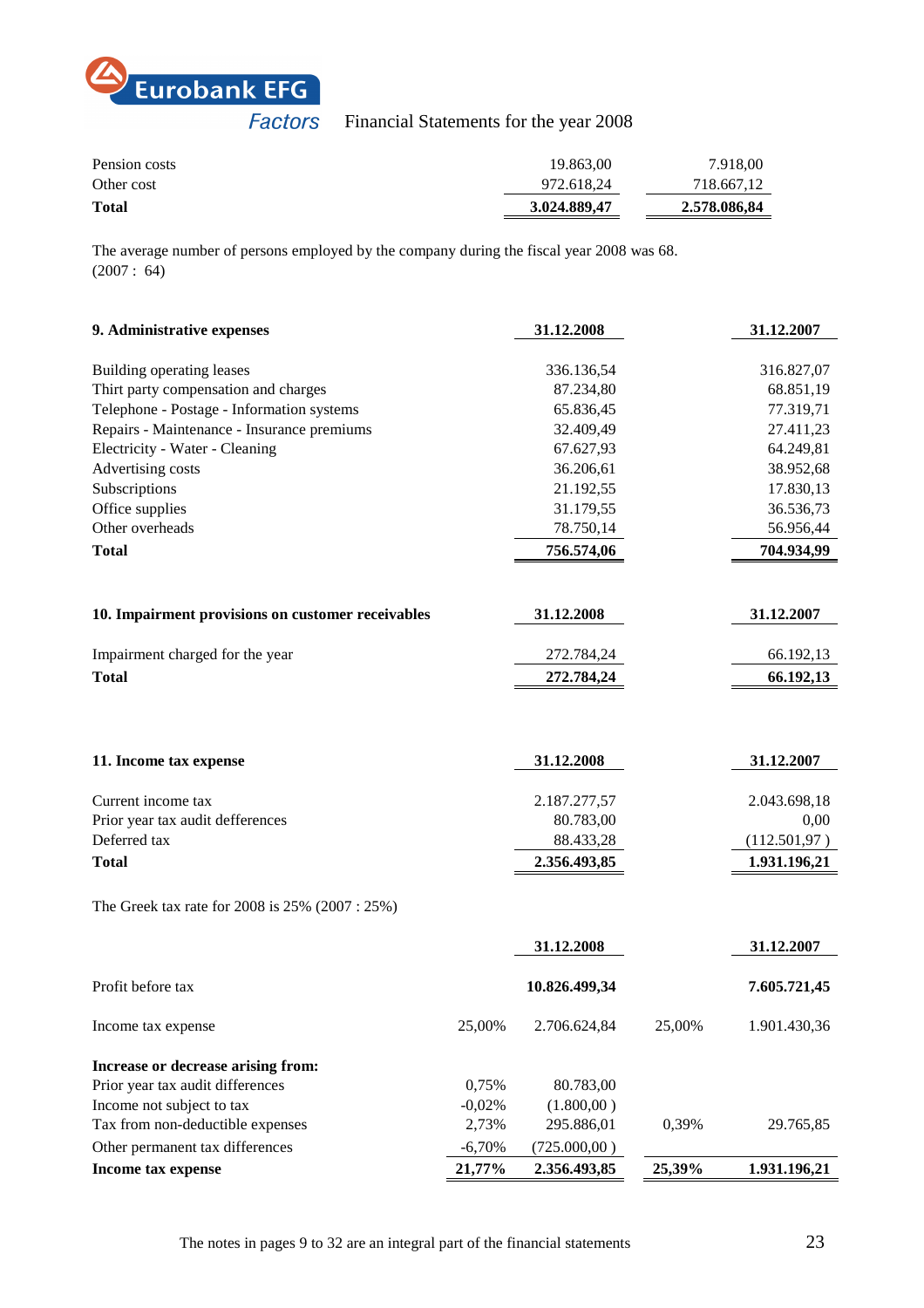

| Pension costs | 19.863.00    | 7.918.00     |
|---------------|--------------|--------------|
| Other cost    | 972.618.24   | 718.667,12   |
| <b>Total</b>  | 3.024.889.47 | 2.578.086,84 |

The average number of persons employed by the company during the fiscal year 2008 was 68. (2007 : 64)

| 9. Administrative expenses                        |          | 31.12.2008    |        | 31.12.2007    |
|---------------------------------------------------|----------|---------------|--------|---------------|
|                                                   |          |               |        |               |
| Building operating leases                         |          | 336.136,54    |        | 316.827,07    |
| Thirt party compensation and charges              |          | 87.234,80     |        | 68.851,19     |
| Telephone - Postage - Information systems         |          | 65.836,45     |        | 77.319,71     |
| Repairs - Maintenance - Insurance premiums        |          | 32.409,49     |        | 27.411,23     |
| Electricity - Water - Cleaning                    |          | 67.627,93     |        | 64.249,81     |
| Advertising costs                                 |          | 36.206,61     |        | 38.952,68     |
| Subscriptions                                     |          | 21.192,55     |        | 17.830,13     |
| Office supplies                                   |          | 31.179,55     |        | 36.536,73     |
| Other overheads                                   |          | 78.750,14     |        | 56.956,44     |
| <b>Total</b>                                      |          | 756.574,06    |        | 704.934,99    |
|                                                   |          |               |        |               |
| 10. Impairment provisions on customer receivables |          | 31.12.2008    |        | 31.12.2007    |
| Impairment charged for the year                   |          | 272.784,24    |        | 66.192,13     |
| <b>Total</b>                                      |          | 272.784,24    |        | 66.192,13     |
|                                                   |          |               |        |               |
|                                                   |          |               |        |               |
| 11. Income tax expense                            |          | 31.12.2008    |        | 31.12.2007    |
| Current income tax                                |          | 2.187.277,57  |        | 2.043.698,18  |
| Prior year tax audit defferences                  |          | 80.783,00     |        | 0,00          |
| Deferred tax                                      |          | 88.433,28     |        | (112.501, 97) |
| <b>Total</b>                                      |          | 2.356.493,85  |        | 1.931.196,21  |
| The Greek tax rate for 2008 is 25% (2007 : 25%)   |          |               |        |               |
|                                                   |          |               |        |               |
|                                                   |          | 31.12.2008    |        | 31.12.2007    |
| Profit before tax                                 |          | 10.826.499,34 |        | 7.605.721,45  |
| Income tax expense                                | 25,00%   | 2.706.624,84  | 25,00% | 1.901.430,36  |
| Increase or decrease arising from:                |          |               |        |               |
| Prior year tax audit differences                  | 0,75%    | 80.783,00     |        |               |
| Income not subject to tax                         | $-0,02%$ | (1.800,00)    |        |               |
| Tax from non-deductible expenses                  | 2,73%    | 295.886,01    | 0,39%  | 29.765,85     |
| Other permanent tax differences                   | $-6,70%$ | (725.000,00)  |        |               |
| Income tax expense                                | 21,77%   | 2.356.493,85  | 25,39% | 1.931.196,21  |
|                                                   |          |               |        |               |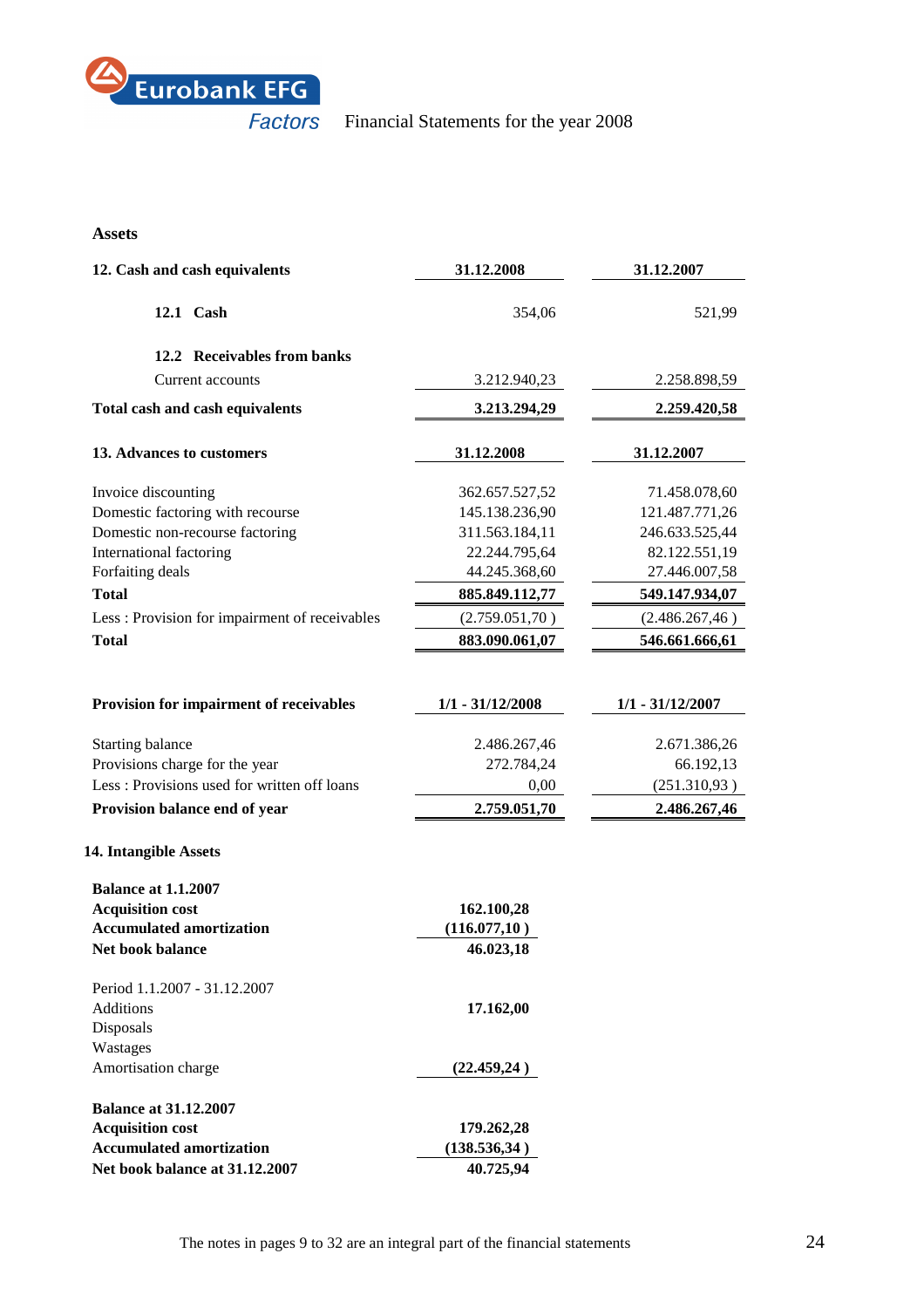

# **Assets**

| 12. Cash and cash equivalents                 | 31.12.2008         | 31.12.2007         |
|-----------------------------------------------|--------------------|--------------------|
| 12.1 Cash                                     | 354,06             | 521,99             |
| 12.2 Receivables from banks                   |                    |                    |
| Current accounts                              | 3.212.940,23       | 2.258.898,59       |
| Total cash and cash equivalents               | 3.213.294,29       | 2.259.420,58       |
| 13. Advances to customers                     | 31.12.2008         | 31.12.2007         |
| Invoice discounting                           | 362.657.527,52     | 71.458.078,60      |
| Domestic factoring with recourse              | 145.138.236,90     | 121.487.771,26     |
| Domestic non-recourse factoring               | 311.563.184,11     | 246.633.525,44     |
| International factoring                       | 22.244.795,64      | 82.122.551,19      |
| Forfaiting deals                              | 44.245.368,60      | 27.446.007,58      |
| <b>Total</b>                                  | 885.849.112,77     | 549.147.934,07     |
| Less: Provision for impairment of receivables | (2.759.051,70)     | (2.486.267, 46)    |
| <b>Total</b>                                  | 883.090.061,07     | 546.661.666,61     |
|                                               |                    |                    |
| Provision for impairment of receivables       | $1/1 - 31/12/2008$ | $1/1 - 31/12/2007$ |
| Starting balance                              | 2.486.267,46       | 2.671.386,26       |
| Provisions charge for the year                | 272.784,24         | 66.192,13          |
| Less: Provisions used for written off loans   | 0,00               | (251.310, 93)      |
| Provision balance end of year                 | 2.759.051,70       | 2.486.267,46       |
| 14. Intangible Assets                         |                    |                    |
| <b>Balance at 1.1.2007</b>                    |                    |                    |
| <b>Acquisition cost</b>                       | 162.100,28         |                    |
| <b>Accumulated amortization</b>               | (116.077,10)       |                    |
| <b>Net book balance</b>                       | 46.023,18          |                    |
| Period 1.1.2007 - 31.12.2007                  |                    |                    |
| <b>Additions</b>                              | 17.162,00          |                    |
| Disposals                                     |                    |                    |
| Wastages                                      |                    |                    |
| Amortisation charge                           | (22.459,24)        |                    |
| <b>Balance at 31.12.2007</b>                  |                    |                    |
| <b>Acquisition cost</b>                       | 179.262,28         |                    |
| <b>Accumulated amortization</b>               | (138.536,34)       |                    |
| Net book balance at 31.12.2007                | 40.725,94          |                    |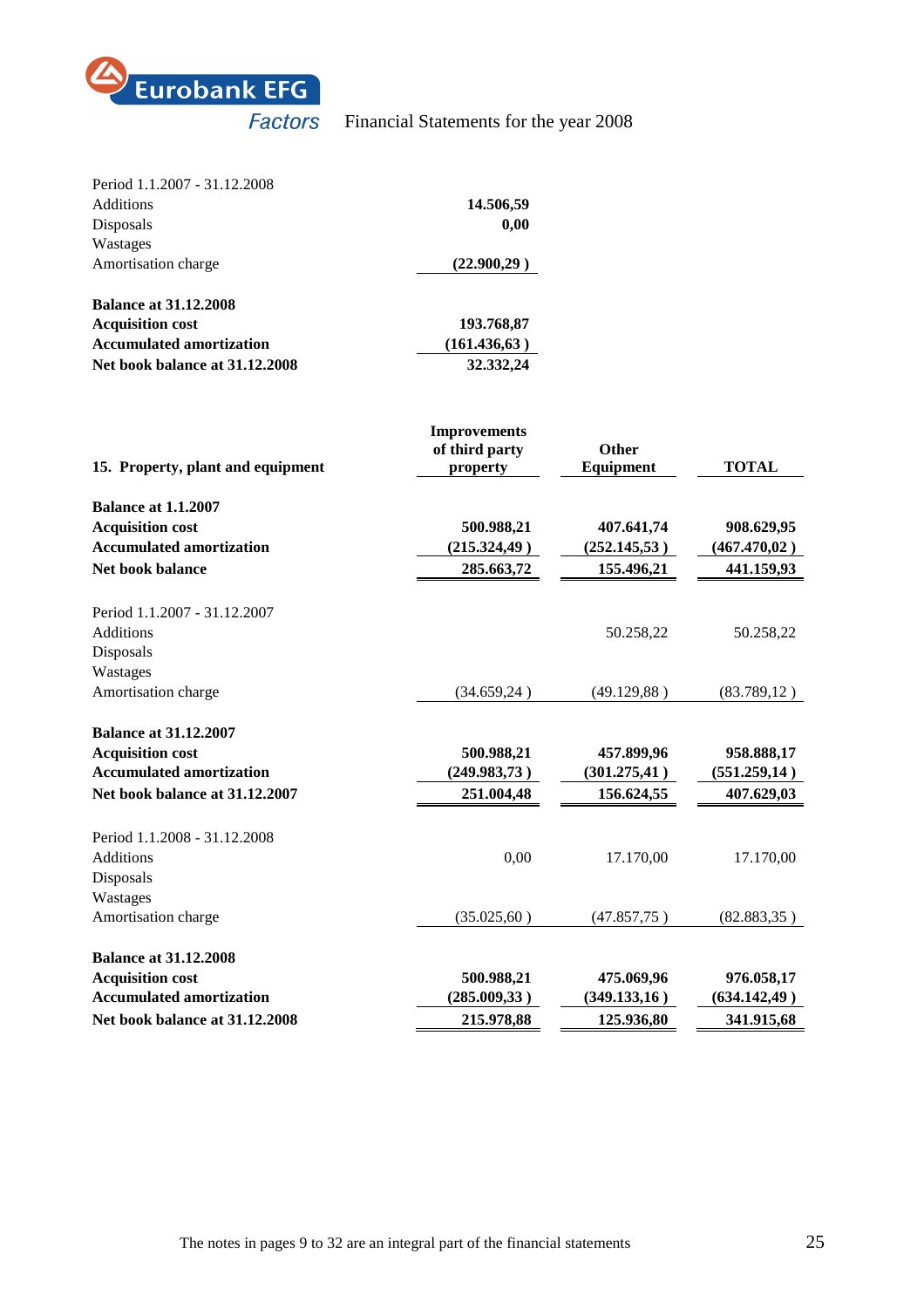

| Period 1.1.2007 - 31.12.2008    |              |
|---------------------------------|--------------|
| <b>Additions</b>                | 14.506,59    |
| Disposals                       | 0,00         |
| Wastages                        |              |
| Amortisation charge             | (22.900.29)  |
| <b>Balance at 31.12.2008</b>    |              |
| <b>Acquisition cost</b>         | 193.768,87   |
| <b>Accumulated amortization</b> | (161.436.63) |
| Net book balance at 31.12.2008  | 32.332,24    |

| 15. Property, plant and equipment | <b>Improvements</b><br>of third party<br>property | Other<br>Equipment | <b>TOTAL</b>  |
|-----------------------------------|---------------------------------------------------|--------------------|---------------|
| <b>Balance at 1.1.2007</b>        |                                                   |                    |               |
| <b>Acquisition cost</b>           | 500.988,21                                        | 407.641,74         | 908.629,95    |
| <b>Accumulated amortization</b>   | (215.324, 49)                                     | (252.145,53)       | (467.470,02)  |
| <b>Net book balance</b>           | 285.663,72                                        | 155.496,21         | 441.159,93    |
|                                   |                                                   |                    |               |
| Period 1.1.2007 - 31.12.2007      |                                                   |                    |               |
| <b>Additions</b>                  |                                                   | 50.258,22          | 50.258,22     |
| Disposals                         |                                                   |                    |               |
| Wastages                          |                                                   |                    |               |
| Amortisation charge               | (34.659,24)                                       | (49.129,88)        | (83.789, 12)  |
| <b>Balance at 31.12.2007</b>      |                                                   |                    |               |
| <b>Acquisition cost</b>           | 500.988,21                                        | 457.899,96         | 958.888,17    |
| <b>Accumulated amortization</b>   | (249.983,73)                                      | (301.275, 41)      | (551.259, 14) |
| Net book balance at 31.12.2007    | 251.004,48                                        | 156.624,55         | 407.629,03    |
| Period 1.1.2008 - 31.12.2008      |                                                   |                    |               |
| <b>Additions</b>                  | 0,00                                              | 17.170,00          | 17.170,00     |
| Disposals                         |                                                   |                    |               |
| Wastages                          |                                                   |                    |               |
| Amortisation charge               | (35.025, 60)                                      | (47.857,75)        | (82.883, 35)  |
| <b>Balance at 31.12.2008</b>      |                                                   |                    |               |
| <b>Acquisition cost</b>           | 500.988,21                                        | 475.069,96         | 976.058,17    |
| <b>Accumulated amortization</b>   | (285.009, 33)                                     | (349.133,16)       | (634.142, 49) |
| Net book balance at 31.12.2008    | 215.978,88                                        | 125.936,80         | 341.915,68    |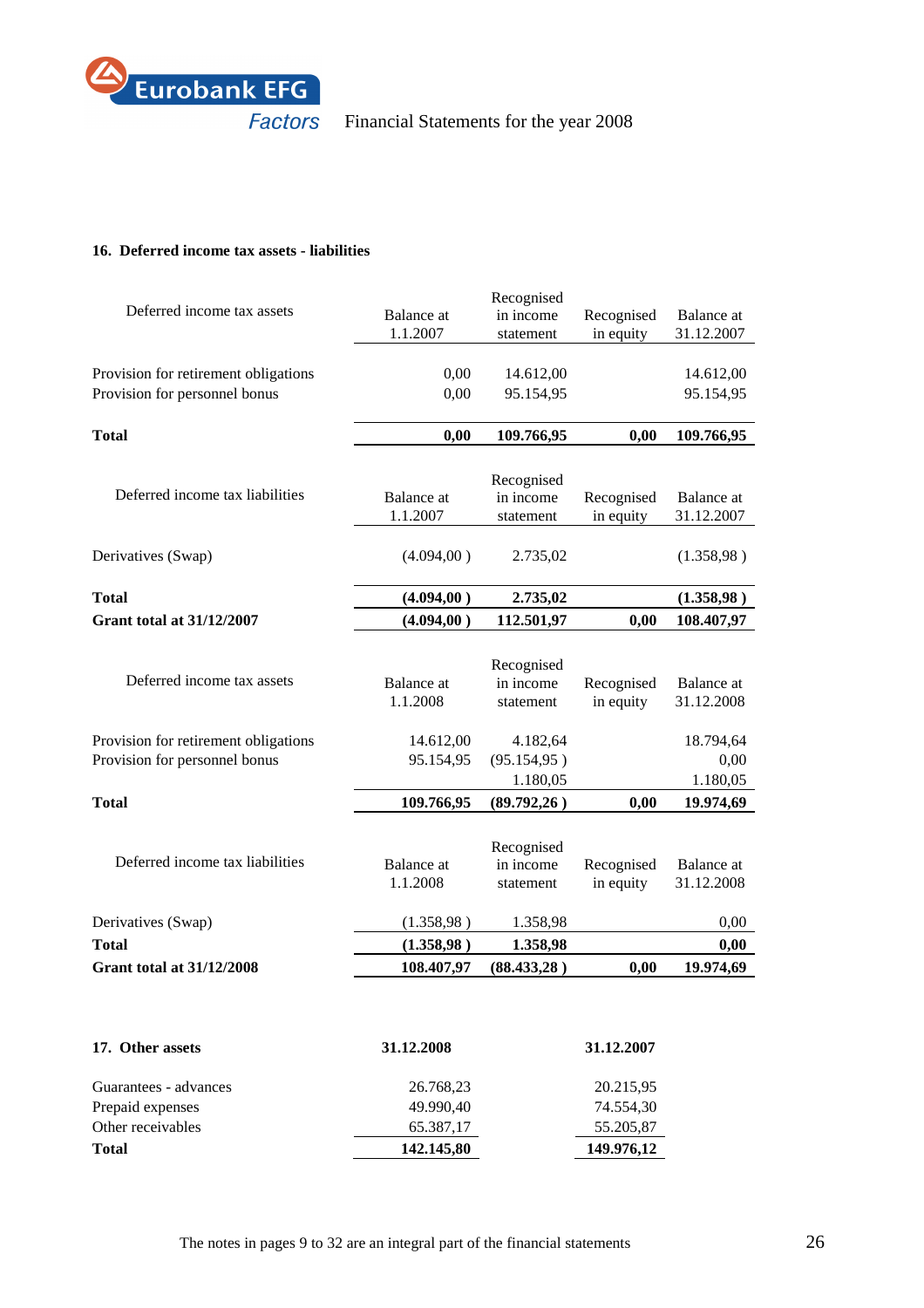

# **16. Deferred income tax assets - liabilities**

|                                      |                        | Recognised              |                         |                          |
|--------------------------------------|------------------------|-------------------------|-------------------------|--------------------------|
| Deferred income tax assets           | <b>Balance</b> at      | in income               | Recognised              | Balance at               |
|                                      | 1.1.2007               | statement               | in equity               | 31.12.2007               |
|                                      |                        |                         |                         |                          |
| Provision for retirement obligations | 0,00                   | 14.612,00               |                         | 14.612,00                |
| Provision for personnel bonus        | 0,00                   | 95.154,95               |                         | 95.154,95                |
|                                      |                        |                         |                         |                          |
| <b>Total</b>                         | 0,00                   | 109.766,95              | 0,00                    | 109.766,95               |
|                                      |                        |                         |                         |                          |
| Deferred income tax liabilities      | <b>Balance</b> at      | Recognised<br>in income | Recognised              | Balance at               |
|                                      | 1.1.2007               | statement               | in equity               | 31.12.2007               |
|                                      |                        |                         |                         |                          |
| Derivatives (Swap)                   | (4.094, 00)            | 2.735,02                |                         | (1.358, 98)              |
|                                      |                        |                         |                         |                          |
| <b>Total</b>                         | (4.094, 00)            | 2.735,02                |                         | (1.358, 98)              |
| <b>Grant total at 31/12/2007</b>     | (4.094, 00)            | 112.501,97              | 0,00                    | 108.407,97               |
|                                      |                        |                         |                         |                          |
|                                      |                        | Recognised              |                         |                          |
| Deferred income tax assets           | Balance at             | in income               | Recognised              | Balance at               |
|                                      | 1.1.2008               | statement               | in equity               | 31.12.2008               |
|                                      |                        |                         |                         |                          |
| Provision for retirement obligations | 14.612,00              | 4.182,64                |                         | 18.794,64                |
| Provision for personnel bonus        | 95.154,95              | (95.154, 95)            |                         | 0,00                     |
|                                      |                        | 1.180,05                |                         | 1.180,05                 |
| <b>Total</b>                         | 109.766,95             | (89.792, 26)            | 0,00                    | 19.974,69                |
|                                      |                        |                         |                         |                          |
| Deferred income tax liabilities      |                        | Recognised              |                         |                          |
|                                      | Balance at<br>1.1.2008 | in income<br>statement  | Recognised<br>in equity | Balance at<br>31.12.2008 |
|                                      |                        |                         |                         |                          |
| Derivatives (Swap)                   | (1.358, 98)            | 1.358,98                |                         | 0,00                     |
| <b>Total</b>                         | (1.358, 98)            | 1.358,98                |                         | 0,00                     |
| <b>Grant total at 31/12/2008</b>     | 108.407,97             | (88.433,28)             | 0,00                    | 19.974,69                |
|                                      |                        |                         |                         |                          |
|                                      |                        |                         |                         |                          |
|                                      |                        |                         |                         |                          |
| 17. Other assets                     | 31.12.2008             |                         | 31.12.2007              |                          |
|                                      |                        |                         |                         |                          |
| Guarantees - advances                | 26.768,23              |                         | 20.215,95               |                          |
| Prepaid expenses                     | 49.990,40              |                         | 74.554,30               |                          |
| Other receivables                    | 65.387,17              |                         | 55.205,87               |                          |
| <b>Total</b>                         | 142.145,80             |                         | 149.976,12              |                          |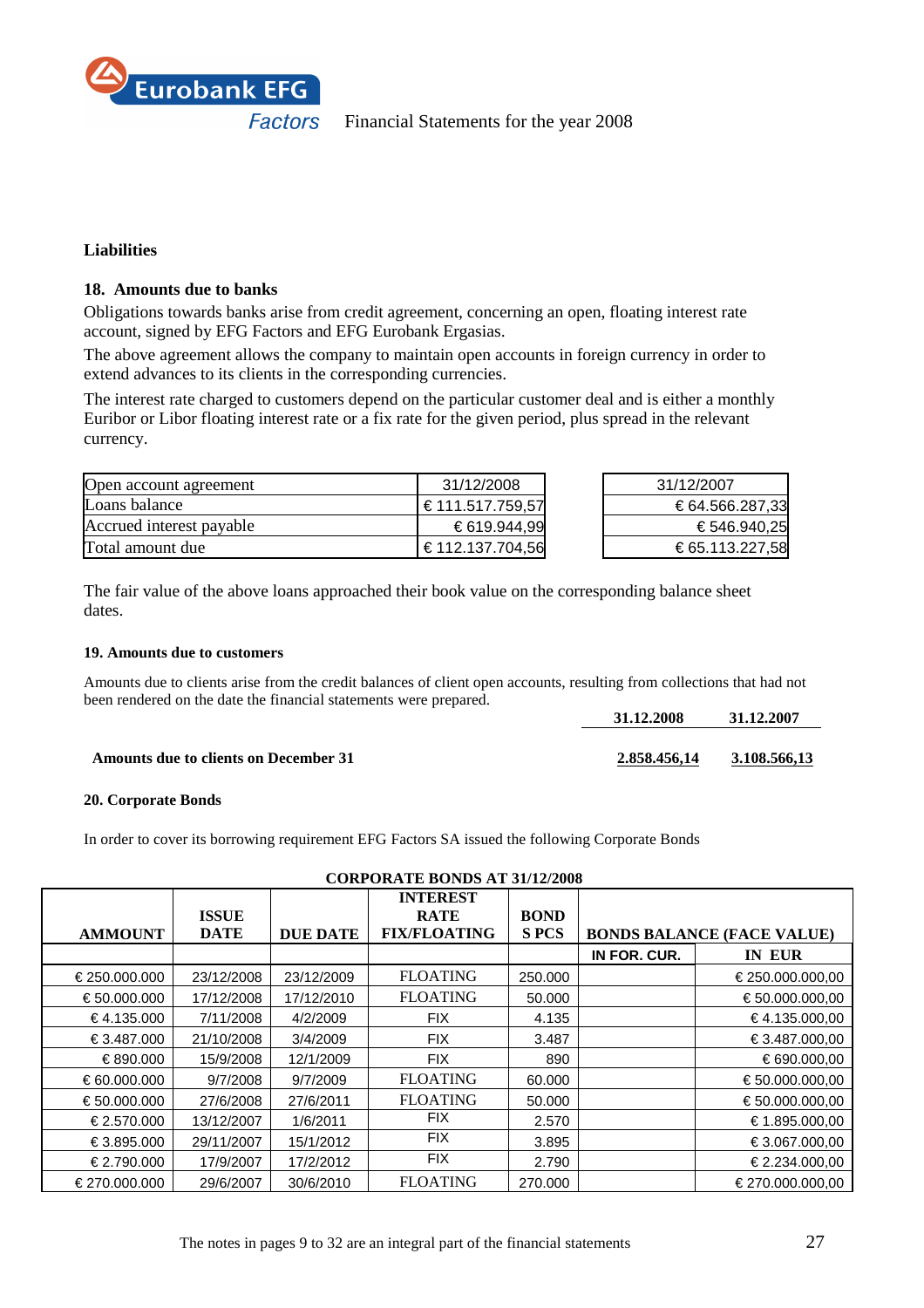

# **Liabilities**

# **18. Amounts due to banks**

Obligations towards banks arise from credit agreement, concerning an open, floating interest rate account, signed by EFG Factors and EFG Eurobank Ergasias.

The above agreement allows the company to maintain open accounts in foreign currency in order to extend advances to its clients in the corresponding currencies.

The interest rate charged to customers depend on the particular customer deal and is either a monthly Euribor or Libor floating interest rate or a fix rate for the given period, plus spread in the relevant currency.

| Open account agreement   | 31/12/2008       | 31/12/2007      |
|--------------------------|------------------|-----------------|
| Loans balance            | € 111.517.759,57 | € 64.566.287,33 |
| Accrued interest payable | € 619.944,99     | € 546.940,25    |
| Total amount due         | € 112.137.704,56 | € 65.113.227,58 |

The fair value of the above loans approached their book value on the corresponding balance sheet dates.

# **19. Amounts due to customers**

Amounts due to clients arise from the credit balances of client open accounts, resulting from collections that had not been rendered on the date the financial statements were prepared.

|                                              | 31.12.2008   | 31.12.2007   |
|----------------------------------------------|--------------|--------------|
|                                              |              |              |
| <b>Amounts due to clients on December 31</b> | 2.858.456.14 | 3.108.566.13 |

# **20. Corporate Bonds**

In order to cover its borrowing requirement EFG Factors SA issued the following Corporate Bonds

|                       |              |                 | <b>INTEREST</b>     |             |              |                                   |
|-----------------------|--------------|-----------------|---------------------|-------------|--------------|-----------------------------------|
|                       | <b>ISSUE</b> |                 | <b>RATE</b>         | <b>BOND</b> |              |                                   |
| <b>AMMOUNT</b>        | <b>DATE</b>  | <b>DUE DATE</b> | <b>FIX/FLOATING</b> | <b>SPCS</b> |              | <b>BONDS BALANCE (FACE VALUE)</b> |
|                       |              |                 |                     |             | IN FOR. CUR. | IN EUR                            |
| € 250,000,000         | 23/12/2008   | 23/12/2009      | <b>FLOATING</b>     | 250,000     |              | € 250.000.000,00                  |
| € 50,000,000          | 17/12/2008   | 17/12/2010      | <b>FLOATING</b>     | 50,000      |              | € 50.000.000.00                   |
| € 4.135.000           | 7/11/2008    | 4/2/2009        | <b>FIX</b>          | 4.135       |              | €4.135000,00                      |
| € 3.487.000           | 21/10/2008   | 3/4/2009        | <b>FIX</b>          | 3.487       |              | € 3.487.000,00                    |
| € 890,000             | 15/9/2008    | 12/1/2009       | <b>FIX</b>          | 890         |              | € 690.000,00                      |
| $\epsilon$ 60.000.000 | 9/7/2008     | 9/7/2009        | <b>FLOATING</b>     | 60,000      |              | € 50.000.000.00                   |
| € 50,000,000          | 27/6/2008    | 27/6/2011       | <b>FLOATING</b>     | 50,000      |              | € 50.000.000.00                   |
| $\epsilon$ 2.570.000  | 13/12/2007   | 1/6/2011        | <b>FIX</b>          | 2.570       |              | € 1.895.000,00                    |
| € 3.895.000           | 29/11/2007   | 15/1/2012       | <b>FIX</b>          | 3.895       |              | € 3.067.000.00                    |
| € 2.790.000           | 17/9/2007    | 17/2/2012       | <b>FIX</b>          | 2.790       |              | € 2.234.000,00                    |
| € 270.000.000         | 29/6/2007    | 30/6/2010       | <b>FLOATING</b>     | 270,000     |              | € 270,000,000,00                  |

# **CORPORATE BONDS AT 31/12/2008**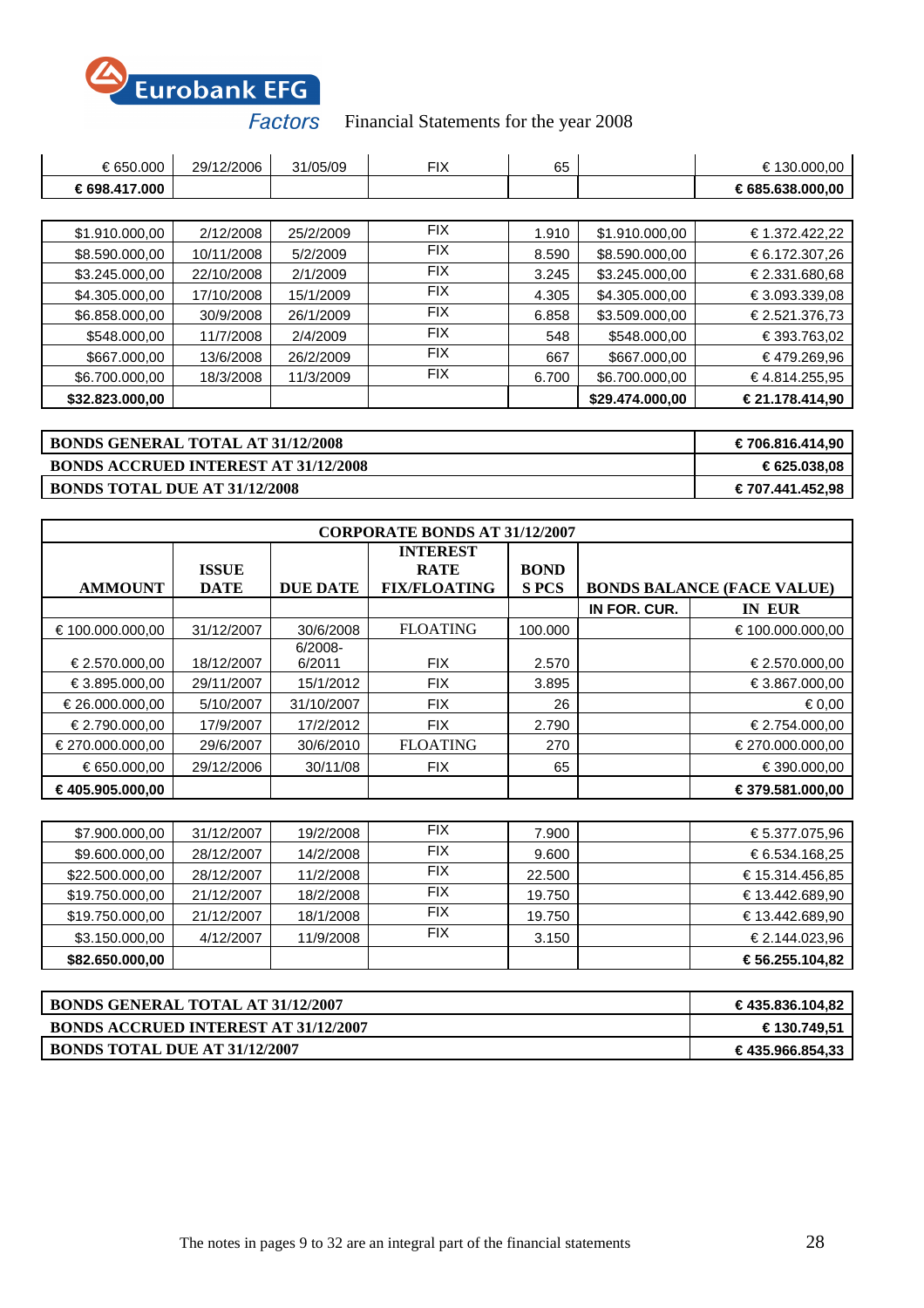

| € 650,000                                | 29/12/2006 | 31/05/09  | <b>FIX</b> | 65    |                 | € 130.000,00     |
|------------------------------------------|------------|-----------|------------|-------|-----------------|------------------|
| € 698,417,000                            |            |           |            |       |                 | € 685.638.000,00 |
|                                          |            |           |            |       |                 |                  |
| \$1.910.000,00                           | 2/12/2008  | 25/2/2009 | <b>FIX</b> | 1.910 | \$1.910.000,00  | € 1.372.422,22   |
| \$8.590.000,00                           | 10/11/2008 | 5/2/2009  | <b>FIX</b> | 8.590 | \$8.590.000,00  | € 6.172.307,26   |
| \$3.245.000,00                           | 22/10/2008 | 2/1/2009  | <b>FIX</b> | 3.245 | \$3.245.000,00  | € 2.331.680,68   |
| \$4.305.000,00                           | 17/10/2008 | 15/1/2009 | <b>FIX</b> | 4.305 | \$4.305.000,00  | € 3.093.339,08   |
| \$6.858.000,00                           | 30/9/2008  | 26/1/2009 | <b>FIX</b> | 6.858 | \$3.509.000,00  | € 2.521.376.73   |
| \$548.000,00                             | 11/7/2008  | 2/4/2009  | <b>FIX</b> | 548   | \$548.000,00    | € 393.763,02     |
| \$667.000,00                             | 13/6/2008  | 26/2/2009 | <b>FIX</b> | 667   | \$667.000,00    | €479.269,96      |
| \$6.700.000,00                           | 18/3/2008  | 11/3/2009 | <b>FIX</b> | 6.700 | \$6.700.000,00  | € 4.814.255,95   |
| \$32.823.000,00                          |            |           |            |       | \$29.474.000,00 | € 21.178.414,90  |
|                                          |            |           |            |       |                 |                  |
| <b>BONDS GENERAL TOTAL AT 31/12/2008</b> |            |           |            |       |                 | € 706.816.414,90 |

# **BONDS ACCRUED INTEREST AT 31/12/2008 € 625.038,08**

**BONDS TOTAL DUE AT 31/12/2008 € 707.441.452,98** 

| <b>CORPORATE BONDS AT 31/12/2007</b> |                             |                      |                                                       |                            |              |                                   |
|--------------------------------------|-----------------------------|----------------------|-------------------------------------------------------|----------------------------|--------------|-----------------------------------|
| <b>AMMOUNT</b>                       | <b>ISSUE</b><br><b>DATE</b> | <b>DUE DATE</b>      | <b>INTEREST</b><br><b>RATE</b><br><b>FIX/FLOATING</b> | <b>BOND</b><br><b>SPCS</b> |              | <b>BONDS BALANCE (FACE VALUE)</b> |
|                                      |                             |                      |                                                       |                            | IN FOR. CUR. | <b>IN EUR</b>                     |
| € 100.000.000.00                     | 31/12/2007                  | 30/6/2008            | <b>FLOATING</b>                                       | 100.000                    |              | € 100.000.000.00                  |
| € 2.570.000.00                       | 18/12/2007                  | $6/2008 -$<br>6/2011 | <b>FIX</b>                                            | 2.570                      |              | € 2.570.000,00                    |
| € 3.895,000,00                       | 29/11/2007                  | 15/1/2012            | <b>FIX</b>                                            | 3.895                      |              | € 3.867.000.00                    |
| € 26.000.000.00                      | 5/10/2007                   | 31/10/2007           | <b>FIX</b>                                            | 26                         |              | € 0.00                            |
| € 2.790.000.00                       | 17/9/2007                   | 17/2/2012            | <b>FIX</b>                                            | 2.790                      |              | € 2.754.000,00                    |
| € 270,000,000,00                     | 29/6/2007                   | 30/6/2010            | <b>FLOATING</b>                                       | 270                        |              | € 270,000,000,00                  |
| € 650,000,00                         | 29/12/2006                  | 30/11/08             | <b>FIX</b>                                            | 65                         |              | € 390,000,00                      |
| € 405.905.000,00                     |                             |                      |                                                       |                            |              | € 379.581.000.00                  |

| \$82.650.000,00 |            |           |            |        | € 56.255.104,82 |
|-----------------|------------|-----------|------------|--------|-----------------|
| \$3.150.000,00  | 4/12/2007  | 11/9/2008 | <b>FIX</b> | 3.150  | € 2.144.023.96  |
| \$19.750.000,00 | 21/12/2007 | 18/1/2008 | <b>FIX</b> | 19.750 | € 13.442.689.90 |
| \$19.750.000,00 | 21/12/2007 | 18/2/2008 | <b>FIX</b> | 19.750 | € 13.442.689,90 |
| \$22.500.000,00 | 28/12/2007 | 11/2/2008 | <b>FIX</b> | 22.500 | € 15.314.456,85 |
| \$9.600.000,00  | 28/12/2007 | 14/2/2008 | <b>FIX</b> | 9.600  | € 6.534.168,25  |
| \$7.900.000,00  | 31/12/2007 | 19/2/2008 | <b>FIX</b> | 7.900  | € 5.377.075,96  |

| <b>BONDS GENERAL TOTAL AT 31/12/2007</b>    | € 435.836.104,82 |
|---------------------------------------------|------------------|
| <b>BONDS ACCRUED INTEREST AT 31/12/2007</b> | € 130.749,51     |
| <b>BONDS TOTAL DUE AT 31/12/2007</b>        | € 435.966.854,33 |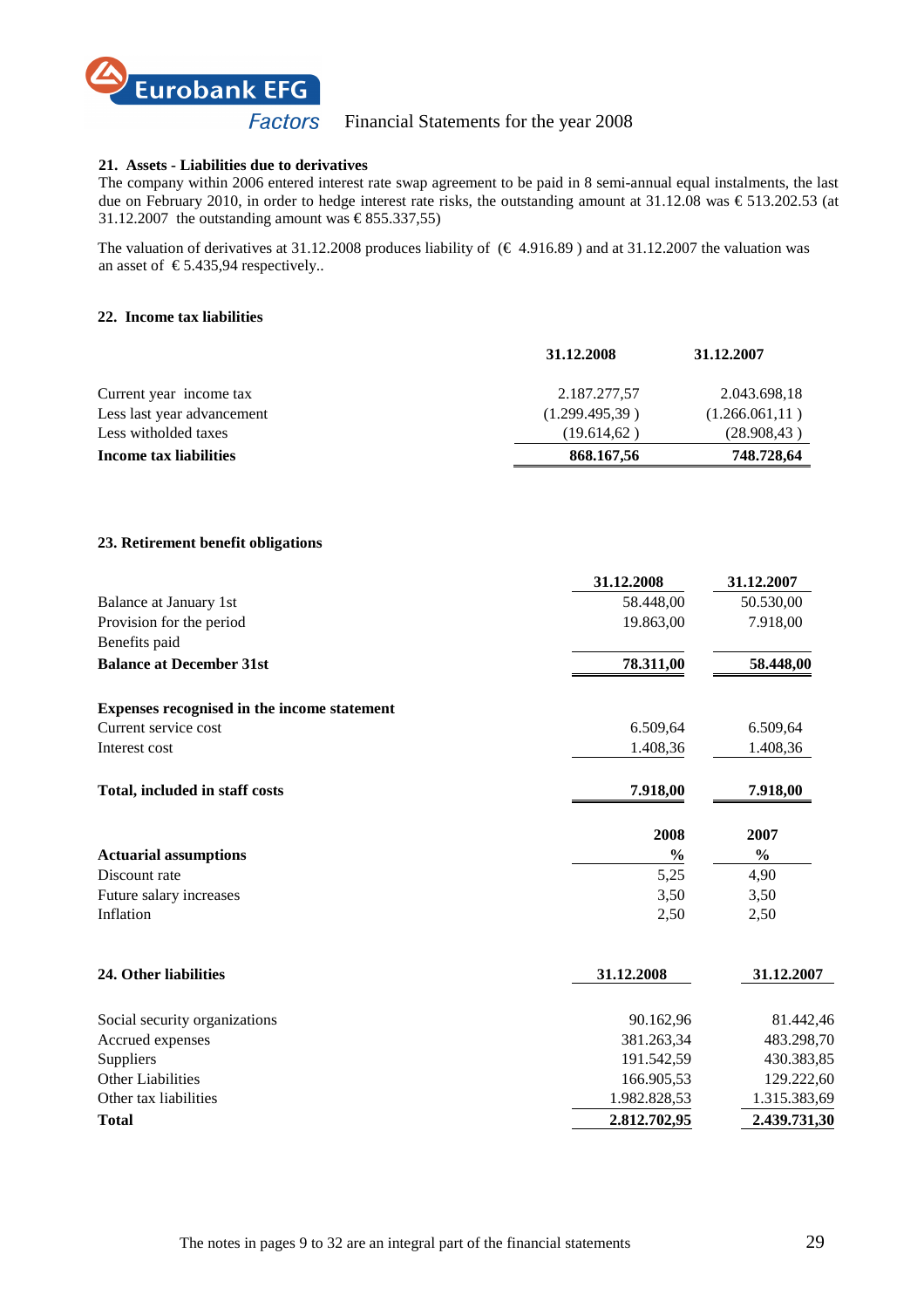

#### **21. Assets - Liabilities due to derivatives**

The company within 2006 entered interest rate swap agreement to be paid in 8 semi-annual equal instalments, the last due on February 2010, in order to hedge interest rate risks, the outstanding amount at 31.12.08 was € 513.202.53 (at 31.12.2007 the outstanding amount was  $\epsilon$  855.337,55

The valuation of derivatives at 31.12.2008 produces liability of  $(\text{\textsterling} 4.916.89)$  and at 31.12.2007 the valuation was an asset of  $\in$  5.435,94 respectively..

#### **22. Income tax liabilities**

|                            | 31.12.2008     | 31.12.2007      |
|----------------------------|----------------|-----------------|
| Current year income tax    | 2.187.277,57   | 2.043.698,18    |
| Less last year advancement | (1.299.495,39) | (1.266.061, 11) |
| Less witholded taxes       | (19.614.62)    | (28.908, 43)    |
| Income tax liabilities     | 868.167,56     | 748.728,64      |
|                            |                |                 |

# **23. Retirement benefit obligations**

|                                             | 31.12.2008    | 31.12.2007    |
|---------------------------------------------|---------------|---------------|
| Balance at January 1st                      | 58.448,00     | 50.530,00     |
| Provision for the period                    | 19.863,00     | 7.918,00      |
| Benefits paid                               |               |               |
| <b>Balance at December 31st</b>             | 78.311,00     | 58.448,00     |
| Expenses recognised in the income statement |               |               |
| Current service cost                        | 6.509,64      | 6.509,64      |
| Interest cost                               | 1.408,36      | 1.408,36      |
| Total, included in staff costs              | 7.918,00      | 7.918,00      |
|                                             | 2008          | 2007          |
| <b>Actuarial assumptions</b>                | $\frac{0}{0}$ | $\frac{0}{0}$ |
| Discount rate                               | 5,25          | 4,90          |
| Future salary increases                     | 3,50          | 3,50          |
| Inflation                                   | 2,50          | 2,50          |
| 24. Other liabilities                       | 31.12.2008    | 31.12.2007    |
| Social security organizations               | 90.162,96     | 81.442,46     |
| Accrued expenses                            | 381.263,34    | 483.298,70    |
| Suppliers                                   | 191.542,59    | 430.383,85    |
| <b>Other Liabilities</b>                    | 166.905,53    | 129.222,60    |
| Other tax liabilities                       | 1.982.828,53  | 1.315.383,69  |
| <b>Total</b>                                | 2.812.702,95  | 2.439.731,30  |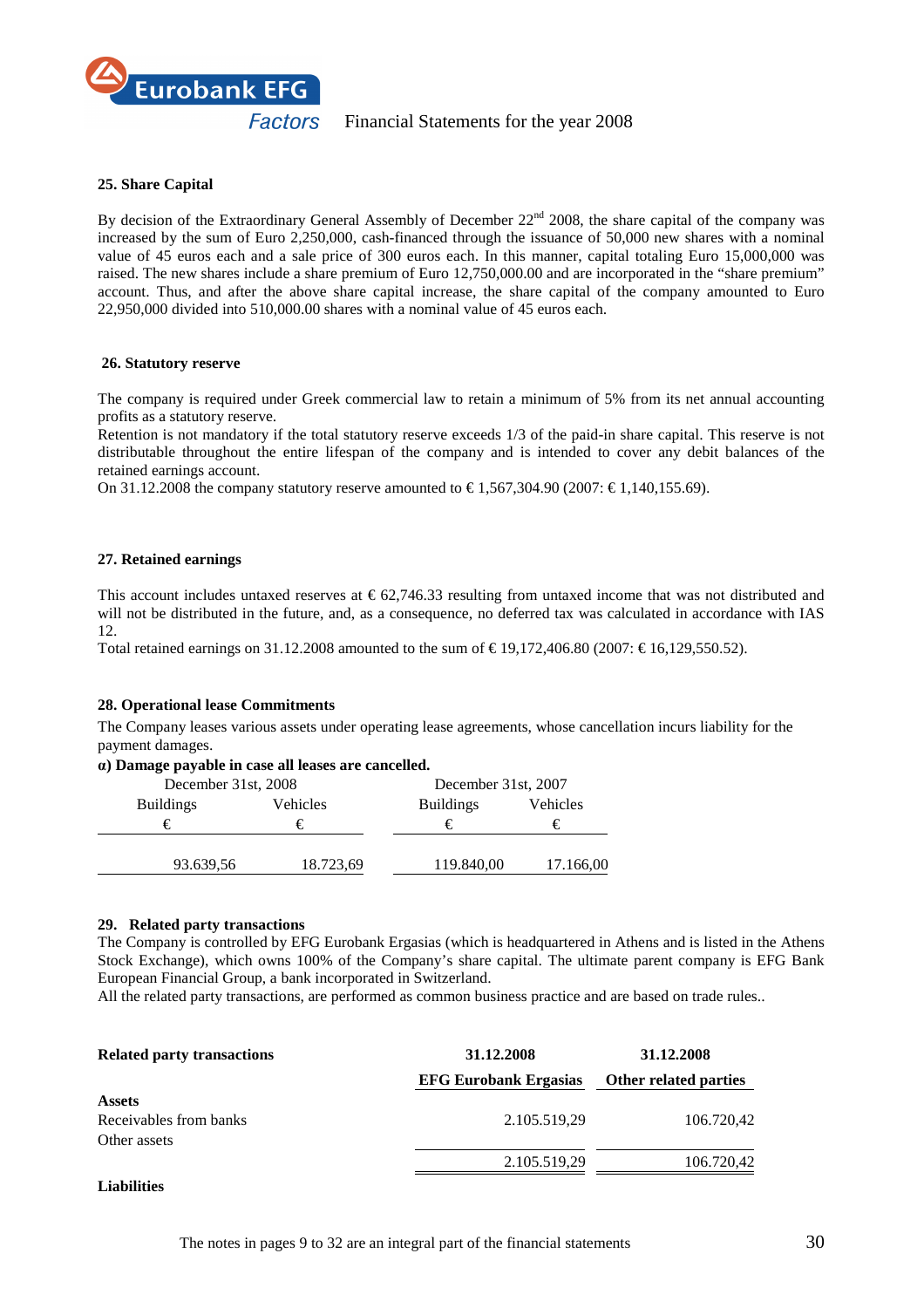

# **25. Share Capital**

By decision of the Extraordinary General Assembly of December 22<sup>nd</sup> 2008, the share capital of the company was increased by the sum of Euro 2,250,000, cash-financed through the issuance of 50,000 new shares with a nominal value of 45 euros each and a sale price of 300 euros each. In this manner, capital totaling Euro 15,000,000 was raised. The new shares include a share premium of Euro 12,750,000.00 and are incorporated in the "share premium" account. Thus, and after the above share capital increase, the share capital of the company amounted to Euro 22,950,000 divided into 510,000.00 shares with a nominal value of 45 euros each.

#### **26. Statutory reserve**

The company is required under Greek commercial law to retain a minimum of 5% from its net annual accounting profits as a statutory reserve.

Retention is not mandatory if the total statutory reserve exceeds 1/3 of the paid-in share capital. This reserve is not distributable throughout the entire lifespan of the company and is intended to cover any debit balances of the retained earnings account.

On 31.12.2008 the company statutory reserve amounted to € 1.567.304.90 (2007: € 1.140.155.69).

# **27. Retained earnings**

This account includes untaxed reserves at  $\epsilon$  62,74633 resulting from untaxed income that was not distributed and will not be distributed in the future, and, as a consequence, no deferred tax was calculated in accordance with IAS 12.

Total retained earnings on 31.12.2008 amounted to the sum of  $\in$  19,172,406.80 (2007:  $\in$  16,129,550.52).

# **28. Operational lease Commitments**

The Company leases various assets under operating lease agreements, whose cancellation incurs liability for the payment damages.

#### α**) Damage payable in case all leases are cancelled.**

| December 31st, 2008          |           | December 31st, 2007 |           |  |
|------------------------------|-----------|---------------------|-----------|--|
| Vehicles<br><b>Buildings</b> |           | <b>Buildings</b>    | Vehicles  |  |
| €                            | €         |                     | €         |  |
|                              |           |                     |           |  |
| 93.639,56                    | 18.723,69 | 119.840,00          | 17.166,00 |  |

#### **29. Related party transactions**

The Company is controlled by EFG Eurobank Ergasias (which is headquartered in Athens and is listed in the Athens Stock Exchange), which owns 100% of the Company's share capital. The ultimate parent company is EFG Bank European Financial Group, a bank incorporated in Switzerland.

All the related party transactions, are performed as common business practice and are based on trade rules..

| <b>Related party transactions</b> | 31.12.2008                   | 31.12.2008            |  |
|-----------------------------------|------------------------------|-----------------------|--|
|                                   | <b>EFG Eurobank Ergasias</b> | Other related parties |  |
| <b>Assets</b>                     |                              |                       |  |
| Receivables from banks            | 2.105.519,29                 | 106.720,42            |  |
| Other assets                      |                              |                       |  |
|                                   | 2.105.519,29                 | 106.720,42            |  |
|                                   |                              |                       |  |

# **Liabilities**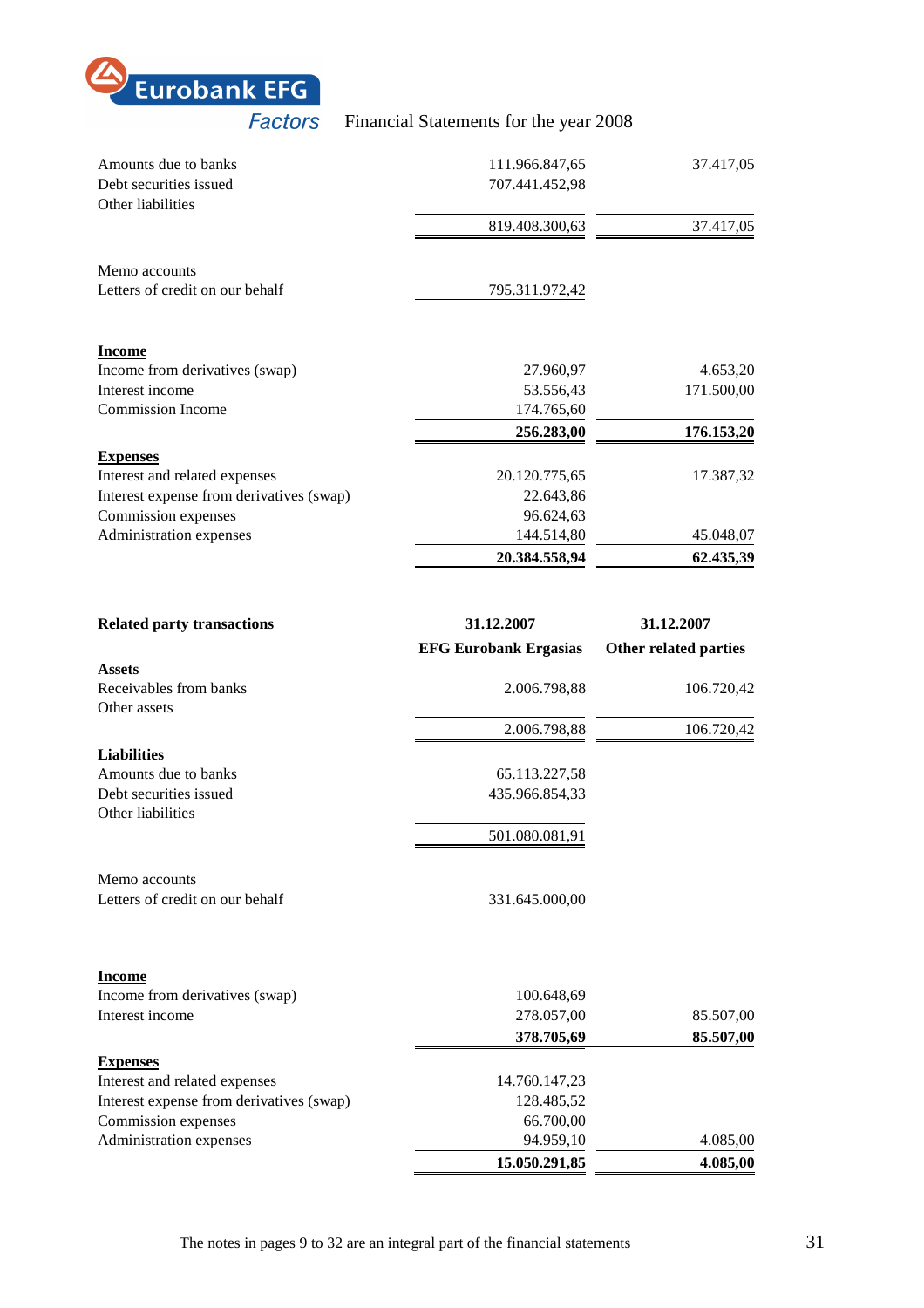

| Amounts due to banks                     | 111.966.847,65 | 37.417,05  |
|------------------------------------------|----------------|------------|
| Debt securities issued                   | 707.441.452,98 |            |
| Other liabilities                        |                |            |
|                                          | 819.408.300,63 | 37.417,05  |
| Memo accounts                            |                |            |
| Letters of credit on our behalf          | 795.311.972,42 |            |
|                                          |                |            |
| <b>Income</b>                            |                |            |
| Income from derivatives (swap)           | 27.960,97      | 4.653,20   |
| Interest income                          | 53.556,43      | 171.500,00 |
| <b>Commission Income</b>                 | 174.765,60     |            |
|                                          | 256.283,00     | 176.153,20 |
| <b>Expenses</b>                          |                |            |
| Interest and related expenses            | 20.120.775,65  | 17.387,32  |
| Interest expense from derivatives (swap) | 22.643,86      |            |
| Commission expenses                      | 96.624,63      |            |
| Administration expenses                  | 144.514,80     | 45.048,07  |
|                                          | 20.384.558,94  | 62.435,39  |

| <b>Related party transactions</b>        | 31.12.2007                   | 31.12.2007            |
|------------------------------------------|------------------------------|-----------------------|
|                                          | <b>EFG Eurobank Ergasias</b> | Other related parties |
| <b>Assets</b>                            |                              |                       |
| Receivables from banks                   | 2.006.798,88                 | 106.720,42            |
| Other assets                             |                              |                       |
|                                          | 2.006.798,88                 | 106.720,42            |
| <b>Liabilities</b>                       |                              |                       |
| Amounts due to banks                     | 65.113.227,58                |                       |
| Debt securities issued                   | 435.966.854,33               |                       |
| Other liabilities                        |                              |                       |
|                                          | 501.080.081,91               |                       |
| Memo accounts                            |                              |                       |
| Letters of credit on our behalf          | 331.645.000,00               |                       |
|                                          |                              |                       |
| <b>Income</b>                            |                              |                       |
| Income from derivatives (swap)           | 100.648,69                   |                       |
| Interest income                          | 278.057,00                   | 85.507,00             |
|                                          | 378.705,69                   | 85.507,00             |
| <b>Expenses</b>                          |                              |                       |
| Interest and related expenses            | 14.760.147,23                |                       |
| Interest expense from derivatives (swap) | 128.485,52                   |                       |
| Commission expenses                      | 66.700,00                    |                       |
| Administration expenses                  | 94.959,10                    | 4.085,00              |
|                                          | 15.050.291,85                | 4.085,00              |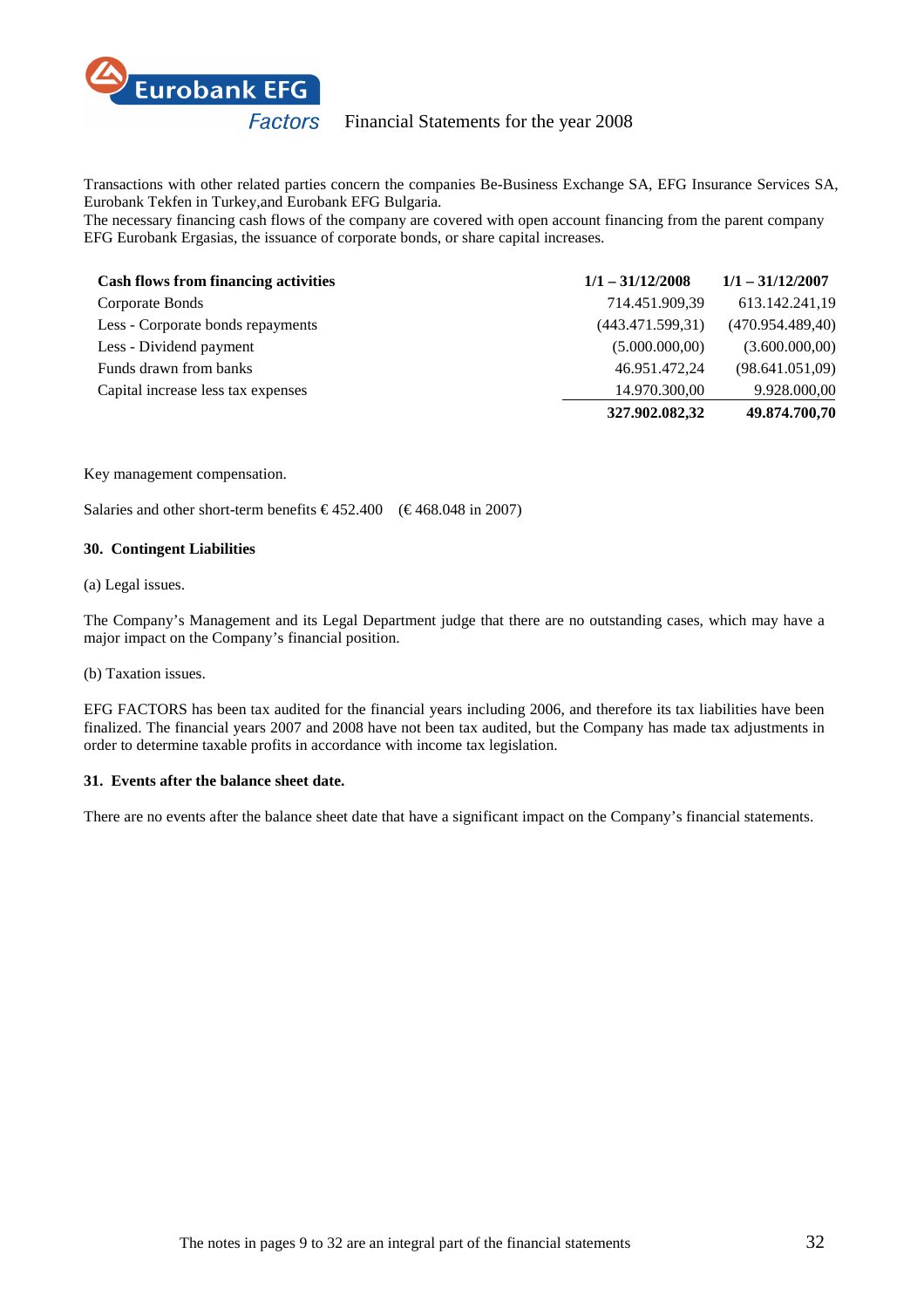

Transactions with other related parties concern the companies Be-Business Exchange SA, EFG Insurance Services SA, Eurobank Tekfen in Turkey,and Eurobank EFG Bulgaria.

The necessary financing cash flows of the company are covered with open account financing from the parent company EFG Eurobank Ergasias, the issuance of corporate bonds, or share capital increases.

| <b>Cash flows from financing activities</b> | $1/1 - 31/12/2008$ | $1/1 - 31/12/2007$ |
|---------------------------------------------|--------------------|--------------------|
| Corporate Bonds                             | 714.451.909,39     | 613.142.241,19     |
| Less - Corporate bonds repayments           | (443.471.599.31)   | (470.954.489,40)   |
| Less - Dividend payment                     | (5.000.000, 00)    | (3.600.000,00)     |
| Funds drawn from banks                      | 46.951.472,24      | (98.641.051,09)    |
| Capital increase less tax expenses          | 14.970.300,00      | 9.928.000,00       |
|                                             | 327.902.082,32     | 49.874.700,70      |

#### Key management compensation.

Salaries and other short-term benefits  $\epsilon$  452.400 ( $\epsilon$  468.048 in 2007)

#### **30. Contingent Liabilities**

# (a) Legal issues.

The Company's Management and its Legal Department judge that there are no outstanding cases, which may have a major impact on the Company's financial position.

(b) Taxation issues.

EFG FACTORS has been tax audited for the financial years including 2006, and therefore its tax liabilities have been finalized. The financial years 2007 and 2008 have not been tax audited, but the Company has made tax adjustments in order to determine taxable profits in accordance with income tax legislation.

# **31. Events after the balance sheet date.**

There are no events after the balance sheet date that have a significant impact on the Company's financial statements.